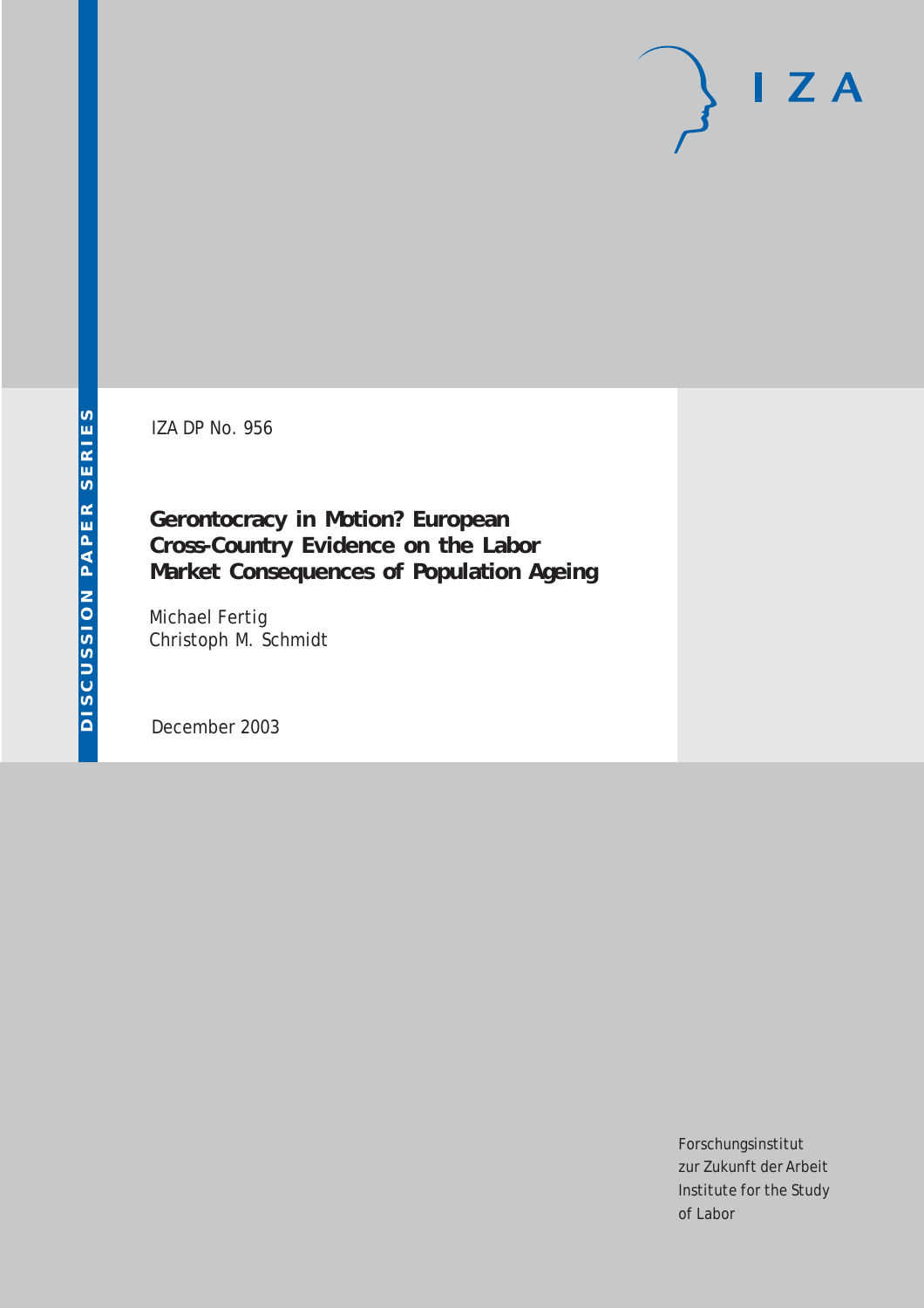IZA DP No. 956

**Gerontocracy in Motion? European Cross-Country Evidence on the Labor Market Consequences of Population Ageing**

Michael Fertig Christoph M. Schmidt

December 2003

Forschungsinstitut zur Zukunft der Arbeit Institute for the Study of Labor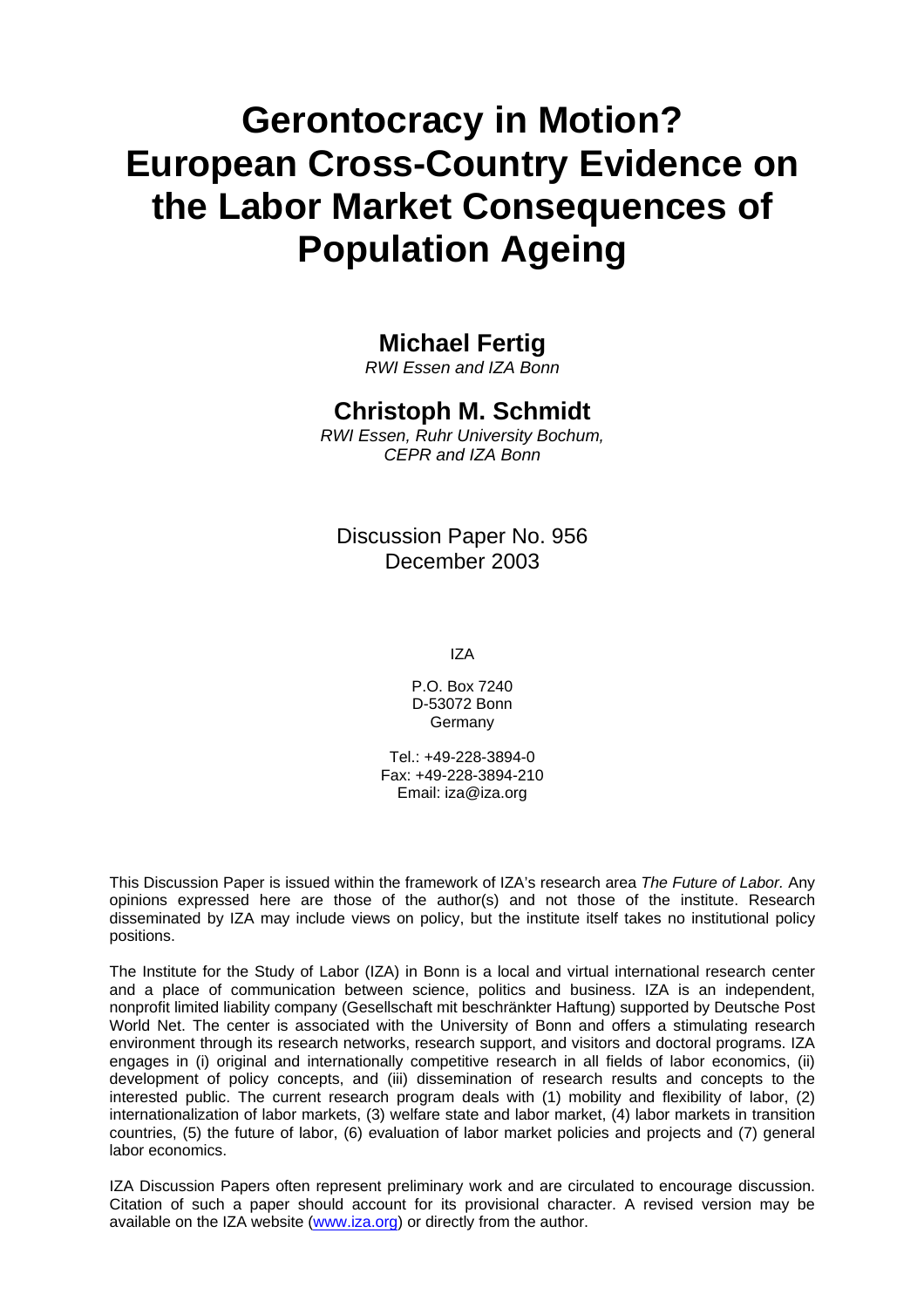# **Gerontocracy in Motion? European Cross-Country Evidence on the Labor Market Consequences of Population Ageing**

### **Michael Fertig**

*RWI Essen and IZA Bonn* 

### **Christoph M. Schmidt**

*RWI Essen, Ruhr University Bochum, CEPR and IZA Bonn* 

Discussion Paper No. 956 December 2003

IZA

P.O. Box 7240 D-53072 Bonn **Germany** 

Tel.: +49-228-3894-0 Fax: +49-228-3894-210 Email: [iza@iza.org](mailto:iza@iza.org)

This Discussion Paper is issued within the framework of IZA's research area *The Future of Labor.* Any opinions expressed here are those of the author(s) and not those of the institute. Research disseminated by IZA may include views on policy, but the institute itself takes no institutional policy positions.

The Institute for the Study of Labor (IZA) in Bonn is a local and virtual international research center and a place of communication between science, politics and business. IZA is an independent, nonprofit limited liability company (Gesellschaft mit beschränkter Haftung) supported by Deutsche Post World Net. The center is associated with the University of Bonn and offers a stimulating research environment through its research networks, research support, and visitors and doctoral programs. IZA engages in (i) original and internationally competitive research in all fields of labor economics, (ii) development of policy concepts, and (iii) dissemination of research results and concepts to the interested public. The current research program deals with (1) mobility and flexibility of labor, (2) internationalization of labor markets, (3) welfare state and labor market, (4) labor markets in transition countries, (5) the future of labor, (6) evaluation of labor market policies and projects and (7) general labor economics.

IZA Discussion Papers often represent preliminary work and are circulated to encourage discussion. Citation of such a paper should account for its provisional character. A revised version may be available on the IZA website ([www.iza.org](http://www.iza.org/)) or directly from the author.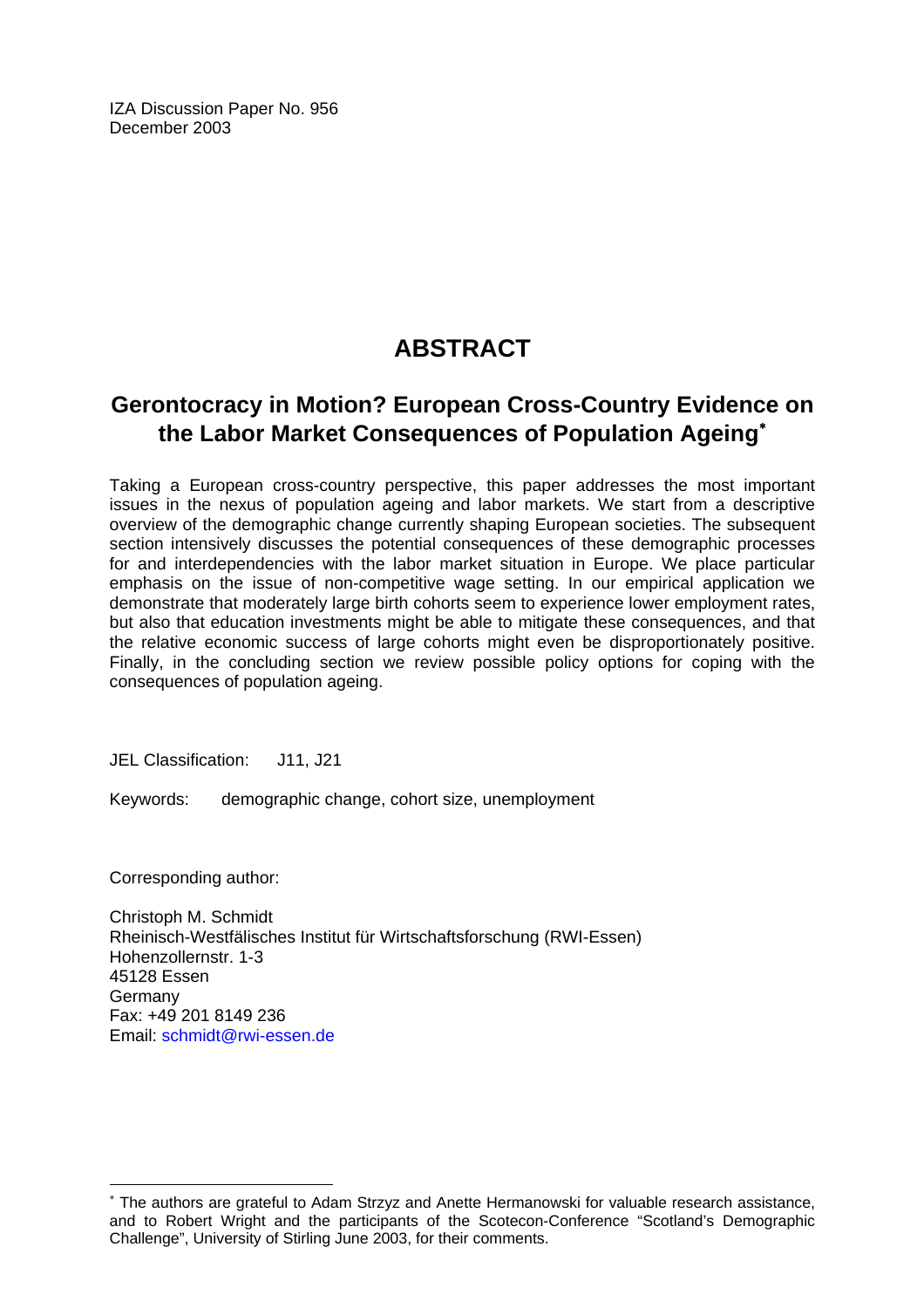IZA Discussion Paper No. 956 December 2003

## **ABSTRACT**

### **Gerontocracy in Motion? European Cross-Country Evidence on the Labor Market Consequences of Population Ageing**[∗](#page-2-0)

Taking a European cross-country perspective, this paper addresses the most important issues in the nexus of population ageing and labor markets. We start from a descriptive overview of the demographic change currently shaping European societies. The subsequent section intensively discusses the potential consequences of these demographic processes for and interdependencies with the labor market situation in Europe. We place particular emphasis on the issue of non-competitive wage setting. In our empirical application we demonstrate that moderately large birth cohorts seem to experience lower employment rates, but also that education investments might be able to mitigate these consequences, and that the relative economic success of large cohorts might even be disproportionately positive. Finally, in the concluding section we review possible policy options for coping with the consequences of population ageing.

JEL Classification: J11, J21

Keywords: demographic change, cohort size, unemployment

Corresponding author:

 $\overline{a}$ 

Christoph M. Schmidt Rheinisch-Westfälisches Institut für Wirtschaftsforschung (RWI-Essen) Hohenzollernstr. 1-3 45128 Essen Germany Fax: +49 201 8149 236 Email: [schmidt@rwi-essen.de](mailto:schmidt@rwi-essen.de)

<span id="page-2-0"></span><sup>∗</sup> The authors are grateful to Adam Strzyz and Anette Hermanowski for valuable research assistance, and to Robert Wright and the participants of the Scotecon-Conference "Scotland's Demographic Challenge", University of Stirling June 2003, for their comments.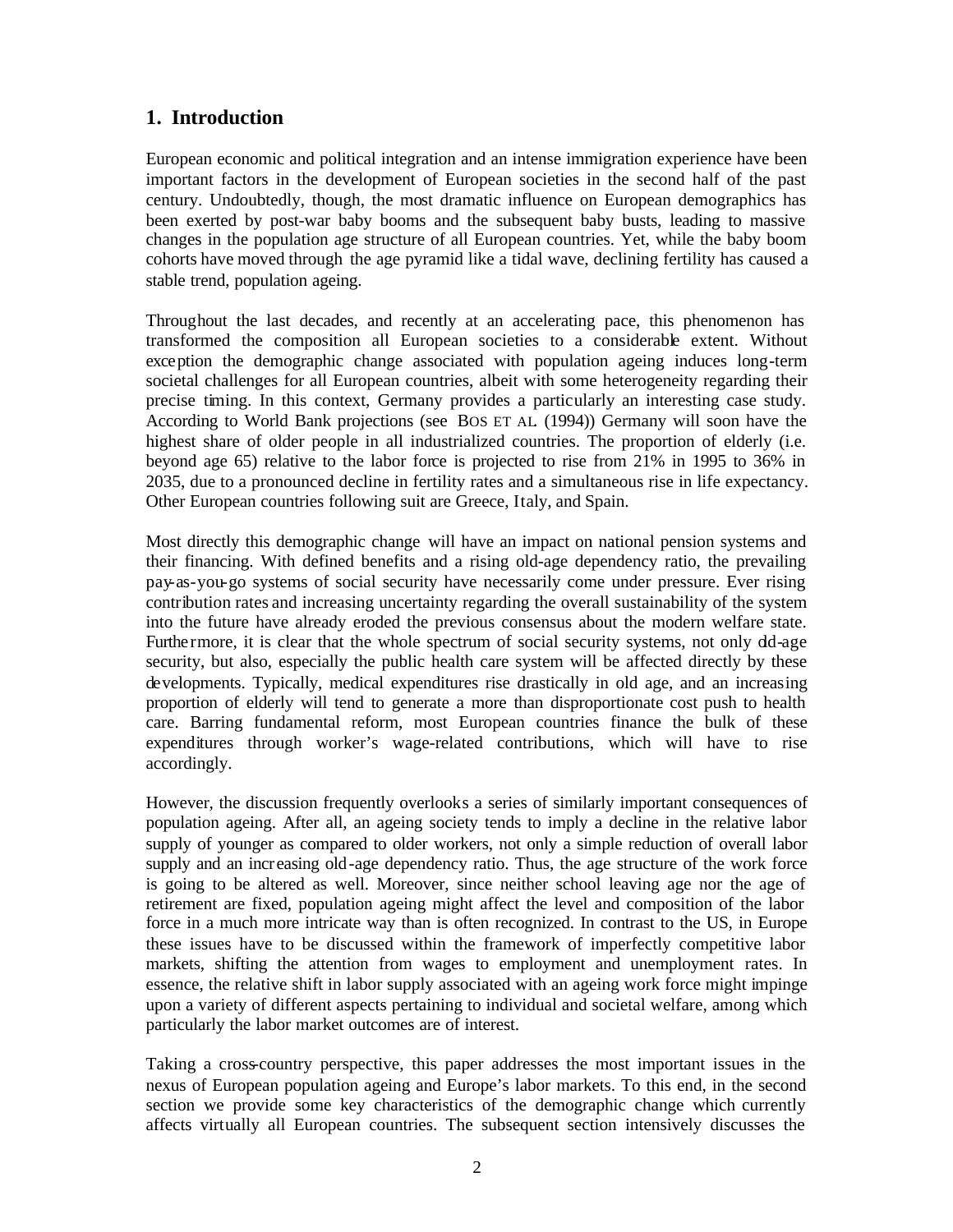### **1. Introduction**

European economic and political integration and an intense immigration experience have been important factors in the development of European societies in the second half of the past century. Undoubtedly, though, the most dramatic influence on European demographics has been exerted by post-war baby booms and the subsequent baby busts, leading to massive changes in the population age structure of all European countries. Yet, while the baby boom cohorts have moved through the age pyramid like a tidal wave, declining fertility has caused a stable trend, population ageing.

Throughout the last decades, and recently at an accelerating pace, this phenomenon has transformed the composition all European societies to a considerable extent. Without exception the demographic change associated with population ageing induces long-term societal challenges for all European countries, albeit with some heterogeneity regarding their precise timing. In this context, Germany provides a particularly an interesting case study. According to World Bank projections (see BOS ET AL. (1994)) Germany will soon have the highest share of older people in all industrialized countries. The proportion of elderly (i.e. beyond age 65) relative to the labor force is projected to rise from 21% in 1995 to 36% in 2035, due to a pronounced decline in fertility rates and a simultaneous rise in life expectancy. Other European countries following suit are Greece, Italy, and Spain.

Most directly this demographic change will have an impact on national pension systems and their financing. With defined benefits and a rising old-age dependency ratio, the prevailing pay-as-you-go systems of social security have necessarily come under pressure. Ever rising contribution rates and increasing uncertainty regarding the overall sustainability of the system into the future have already eroded the previous consensus about the modern welfare state. Furthermore, it is clear that the whole spectrum of social security systems, not only dd-age security, but also, especially the public health care system will be affected directly by these developments. Typically, medical expenditures rise drastically in old age, and an increasing proportion of elderly will tend to generate a more than disproportionate cost push to health care. Barring fundamental reform, most European countries finance the bulk of these expenditures through worker's wage-related contributions, which will have to rise accordingly.

However, the discussion frequently overlooks a series of similarly important consequences of population ageing. After all, an ageing society tends to imply a decline in the relative labor supply of younger as compared to older workers, not only a simple reduction of overall labor supply and an increasing old-age dependency ratio. Thus, the age structure of the work force is going to be altered as well. Moreover, since neither school leaving age nor the age of retirement are fixed, population ageing might affect the level and composition of the labor force in a much more intricate way than is often recognized. In contrast to the US, in Europe these issues have to be discussed within the framework of imperfectly competitive labor markets, shifting the attention from wages to employment and unemployment rates. In essence, the relative shift in labor supply associated with an ageing work force might impinge upon a variety of different aspects pertaining to individual and societal welfare, among which particularly the labor market outcomes are of interest.

Taking a cross-country perspective, this paper addresses the most important issues in the nexus of European population ageing and Europe's labor markets. To this end, in the second section we provide some key characteristics of the demographic change which currently affects virtually all European countries. The subsequent section intensively discusses the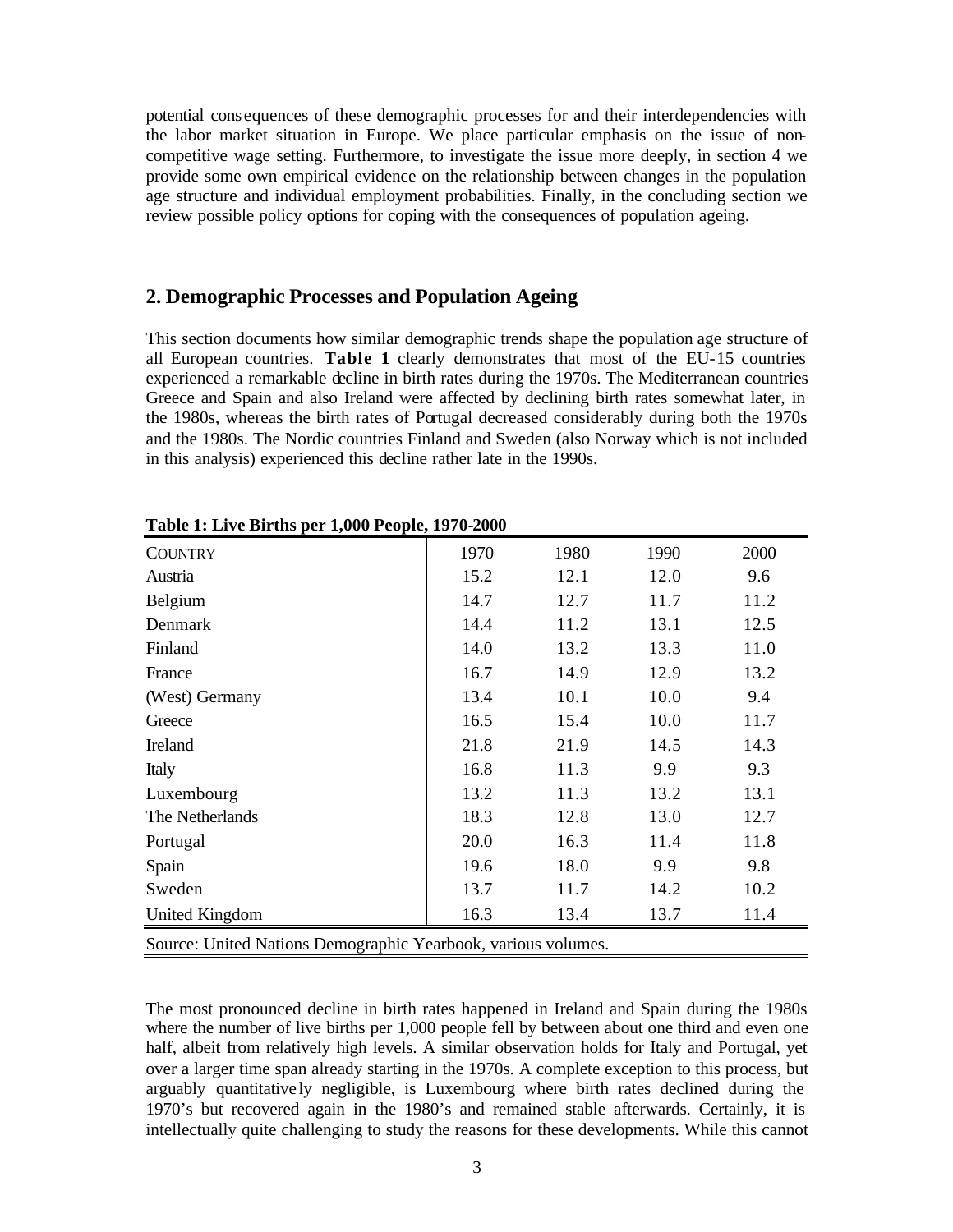potential cons equences of these demographic processes for and their interdependencies with the labor market situation in Europe. We place particular emphasis on the issue of noncompetitive wage setting. Furthermore, to investigate the issue more deeply, in section 4 we provide some own empirical evidence on the relationship between changes in the population age structure and individual employment probabilities. Finally, in the concluding section we review possible policy options for coping with the consequences of population ageing.

#### **2. Demographic Processes and Population Ageing**

This section documents how similar demographic trends shape the population age structure of all European countries. **Table 1** clearly demonstrates that most of the EU-15 countries experienced a remarkable decline in birth rates during the 1970s. The Mediterranean countries Greece and Spain and also Ireland were affected by declining birth rates somewhat later, in the 1980s, whereas the birth rates of Portugal decreased considerably during both the 1970s and the 1980s. The Nordic countries Finland and Sweden (also Norway which is not included in this analysis) experienced this decline rather late in the 1990s.

| <b>COUNTRY</b>                                                | 1970 | 1980 | 1990 | 2000 |
|---------------------------------------------------------------|------|------|------|------|
| Austria                                                       | 15.2 | 12.1 | 12.0 | 9.6  |
| Belgium                                                       | 14.7 | 12.7 | 11.7 | 11.2 |
| Denmark                                                       | 14.4 | 11.2 | 13.1 | 12.5 |
| Finland                                                       | 14.0 | 13.2 | 13.3 | 11.0 |
| France                                                        | 16.7 | 14.9 | 12.9 | 13.2 |
| (West) Germany                                                | 13.4 | 10.1 | 10.0 | 9.4  |
| Greece                                                        | 16.5 | 15.4 | 10.0 | 11.7 |
| Ireland                                                       | 21.8 | 21.9 | 14.5 | 14.3 |
| Italy                                                         | 16.8 | 11.3 | 9.9  | 9.3  |
| Luxembourg                                                    | 13.2 | 11.3 | 13.2 | 13.1 |
| The Netherlands                                               | 18.3 | 12.8 | 13.0 | 12.7 |
| Portugal                                                      | 20.0 | 16.3 | 11.4 | 11.8 |
| Spain                                                         | 19.6 | 18.0 | 9.9  | 9.8  |
| Sweden                                                        | 13.7 | 11.7 | 14.2 | 10.2 |
| <b>United Kingdom</b>                                         | 16.3 | 13.4 | 13.7 | 11.4 |
| Source: United Nations Demographic Yearbook, various volumes. |      |      |      |      |

**Table 1: Live Births per 1,000 People, 1970-2000**

The most pronounced decline in birth rates happened in Ireland and Spain during the 1980s where the number of live births per 1,000 people fell by between about one third and even one half, albeit from relatively high levels. A similar observation holds for Italy and Portugal, yet over a larger time span already starting in the 1970s. A complete exception to this process, but arguably quantitative ly negligible, is Luxembourg where birth rates declined during the 1970's but recovered again in the 1980's and remained stable afterwards. Certainly, it is intellectually quite challenging to study the reasons for these developments. While this cannot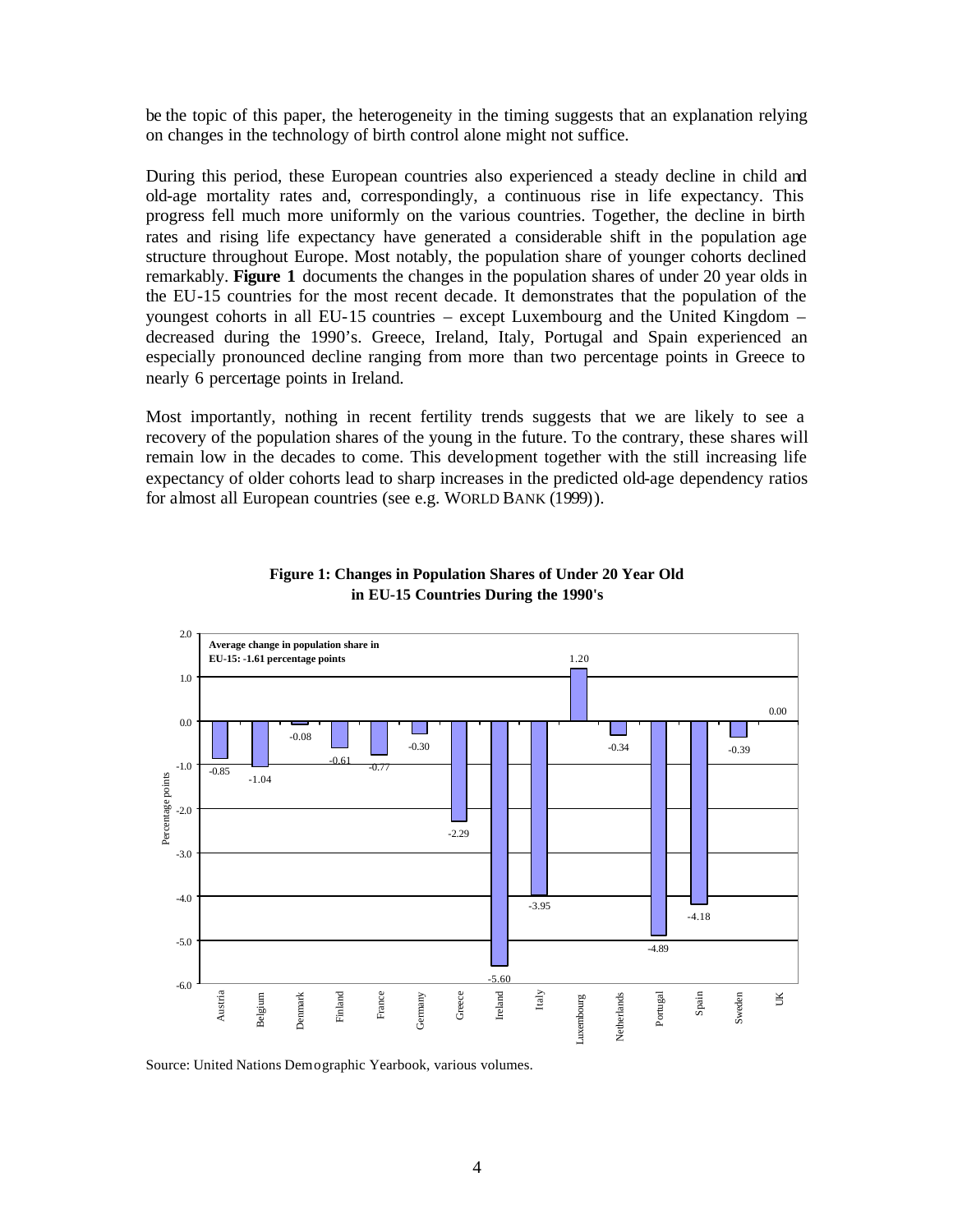be the topic of this paper, the heterogeneity in the timing suggests that an explanation relying on changes in the technology of birth control alone might not suffice.

During this period, these European countries also experienced a steady decline in child and old-age mortality rates and, correspondingly, a continuous rise in life expectancy. This progress fell much more uniformly on the various countries. Together, the decline in birth rates and rising life expectancy have generated a considerable shift in the population age structure throughout Europe. Most notably, the population share of younger cohorts declined remarkably. **Figure 1** documents the changes in the population shares of under 20 year olds in the EU-15 countries for the most recent decade. It demonstrates that the population of the youngest cohorts in all EU-15 countries – except Luxembourg and the United Kingdom – decreased during the 1990's. Greece, Ireland, Italy, Portugal and Spain experienced an especially pronounced decline ranging from more than two percentage points in Greece to nearly 6 percentage points in Ireland.

Most importantly, nothing in recent fertility trends suggests that we are likely to see a recovery of the population shares of the young in the future. To the contrary, these shares will remain low in the decades to come. This development together with the still increasing life expectancy of older cohorts lead to sharp increases in the predicted old-age dependency ratios for almost all European countries (see e.g. WORLD BANK (1999)).



#### **Figure 1: Changes in Population Shares of Under 20 Year Old in EU-15 Countries During the 1990's**

Source: United Nations Demographic Yearbook, various volumes.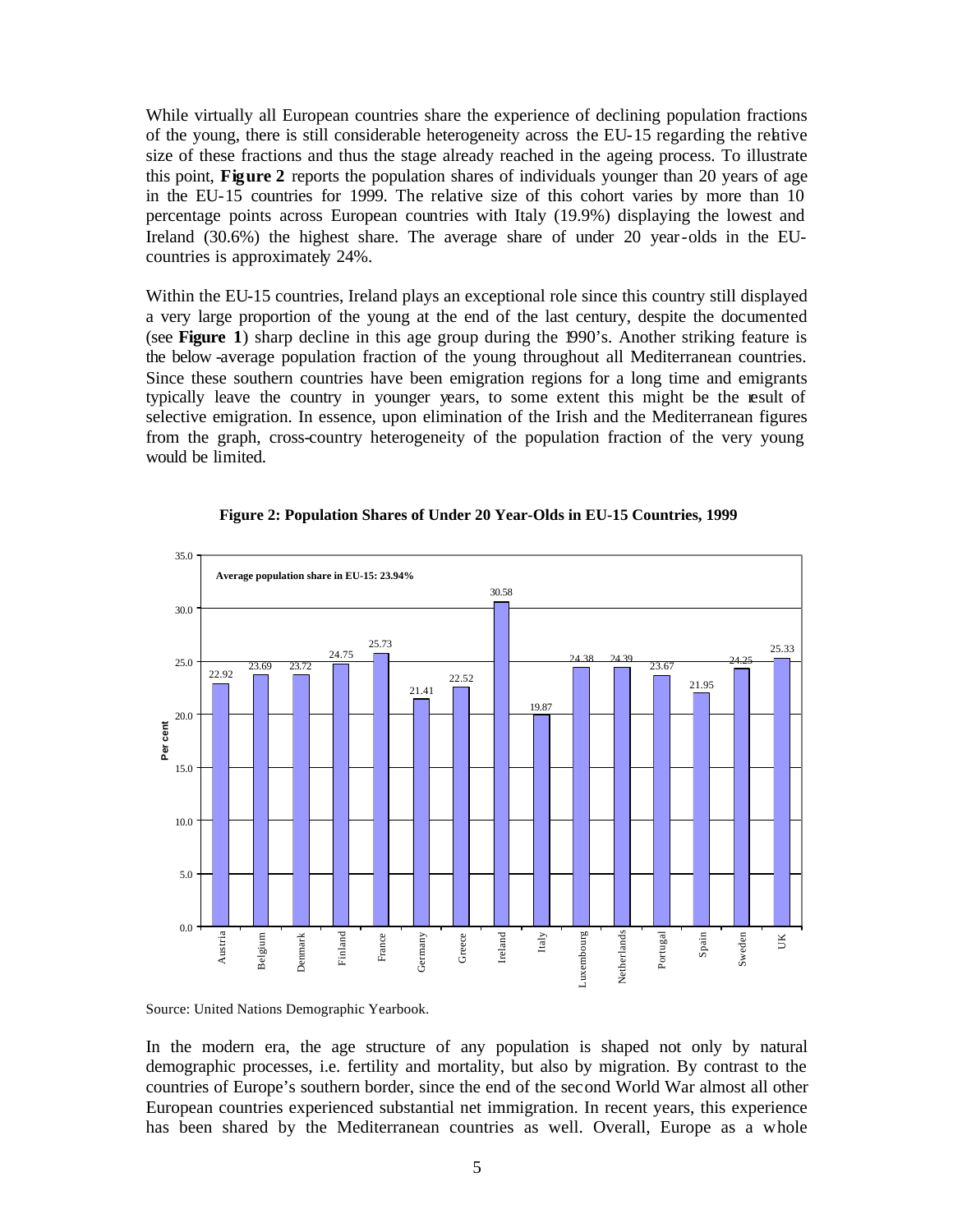While virtually all European countries share the experience of declining population fractions of the young, there is still considerable heterogeneity across the EU-15 regarding the relative size of these fractions and thus the stage already reached in the ageing process. To illustrate this point, **Figure 2** reports the population shares of individuals younger than 20 years of age in the EU-15 countries for 1999. The relative size of this cohort varies by more than 10 percentage points across European countries with Italy (19.9%) displaying the lowest and Ireland (30.6%) the highest share. The average share of under 20 year-olds in the EUcountries is approximately 24%.

Within the EU-15 countries, Ireland plays an exceptional role since this country still displayed a very large proportion of the young at the end of the last century, despite the documented (see **Figure 1**) sharp decline in this age group during the 1990's. Another striking feature is the below -average population fraction of the young throughout all Mediterranean countries. Since these southern countries have been emigration regions for a long time and emigrants typically leave the country in younger years, to some extent this might be the result of selective emigration. In essence, upon elimination of the Irish and the Mediterranean figures from the graph, cross-country heterogeneity of the population fraction of the very young would be limited.



#### **Figure 2: Population Shares of Under 20 Year-Olds in EU-15 Countries, 1999**

Source: United Nations Demographic Yearbook.

In the modern era, the age structure of any population is shaped not only by natural demographic processes, i.e. fertility and mortality, but also by migration. By contrast to the countries of Europe's southern border, since the end of the second World War almost all other European countries experienced substantial net immigration. In recent years, this experience has been shared by the Mediterranean countries as well. Overall, Europe as a whole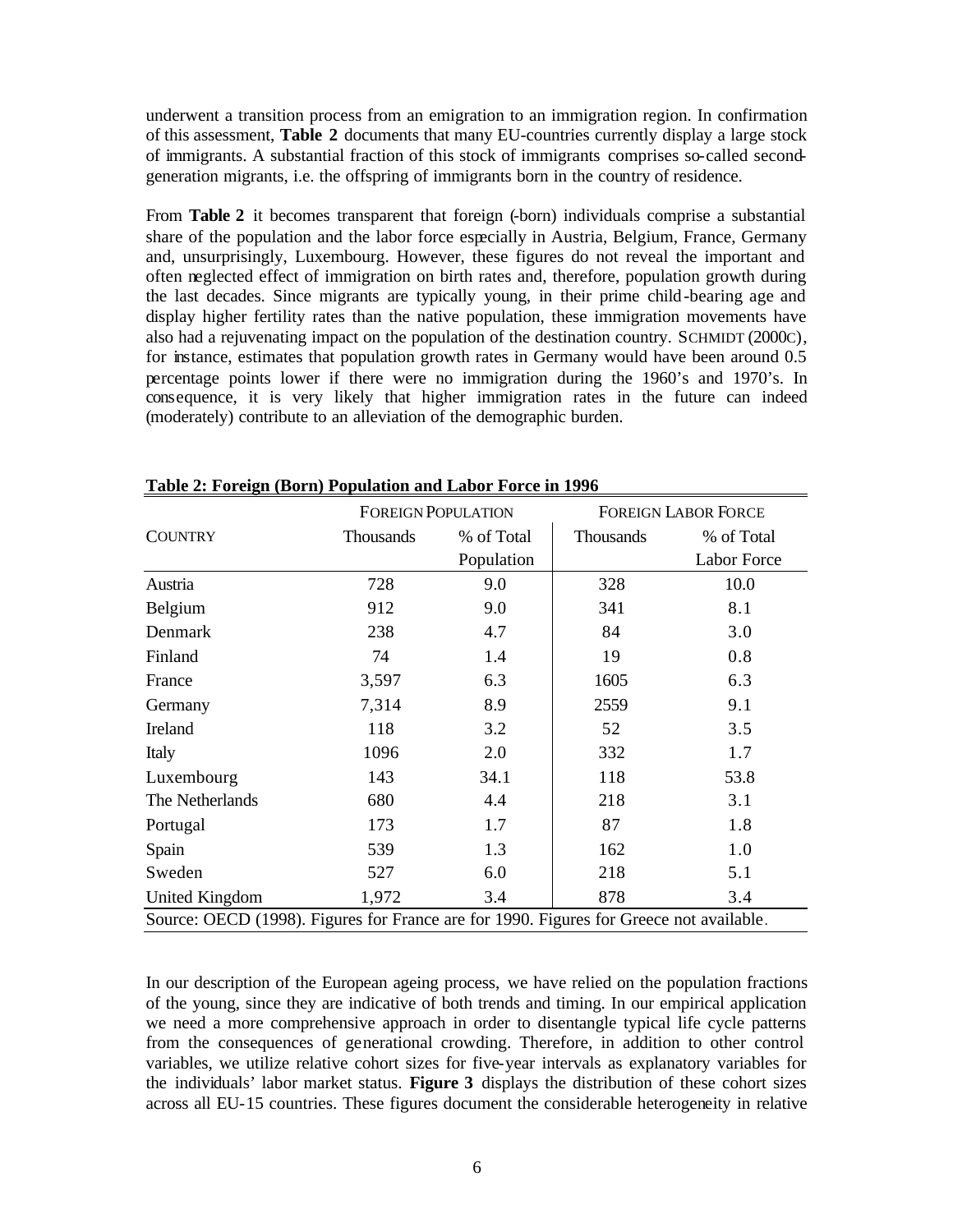underwent a transition process from an emigration to an immigration region. In confirmation of this assessment, **Table 2** documents that many EU-countries currently display a large stock of immigrants. A substantial fraction of this stock of immigrants comprises so-called secondgeneration migrants, i.e. the offspring of immigrants born in the country of residence.

From **Table 2** it becomes transparent that foreign (-born) individuals comprise a substantial share of the population and the labor force especially in Austria, Belgium, France, Germany and, unsurprisingly, Luxembourg. However, these figures do not reveal the important and often neglected effect of immigration on birth rates and, therefore, population growth during the last decades. Since migrants are typically young, in their prime child-bearing age and display higher fertility rates than the native population, these immigration movements have also had a rejuvenating impact on the population of the destination country. SCHMIDT (2000C), for instance, estimates that population growth rates in Germany would have been around 0.5 percentage points lower if there were no immigration during the 1960's and 1970's. In consequence, it is very likely that higher immigration rates in the future can indeed (moderately) contribute to an alleviation of the demographic burden.

|                                                                                         |           | <b>FOREIGN POPULATION</b> |           | <b>FOREIGN LABOR FORCE</b> |  |
|-----------------------------------------------------------------------------------------|-----------|---------------------------|-----------|----------------------------|--|
| <b>COUNTRY</b>                                                                          | Thousands | % of Total                | Thousands | % of Total                 |  |
|                                                                                         |           | Population                |           | Labor Force                |  |
| Austria                                                                                 | 728       | 9.0                       | 328       | 10.0                       |  |
| Belgium                                                                                 | 912       | 9.0                       | 341       | 8.1                        |  |
| Denmark                                                                                 | 238       | 4.7                       | 84        | 3.0                        |  |
| Finland                                                                                 | 74        | 1.4                       | 19        | 0.8                        |  |
| France                                                                                  | 3,597     | 6.3                       | 1605      | 6.3                        |  |
| Germany                                                                                 | 7,314     | 8.9                       | 2559      | 9.1                        |  |
| Ireland                                                                                 | 118       | 3.2                       | 52        | 3.5                        |  |
| Italy                                                                                   | 1096      | 2.0                       | 332       | 1.7                        |  |
| Luxembourg                                                                              | 143       | 34.1                      | 118       | 53.8                       |  |
| The Netherlands                                                                         | 680       | 4.4                       | 218       | 3.1                        |  |
| Portugal                                                                                | 173       | 1.7                       | 87        | 1.8                        |  |
| Spain                                                                                   | 539       | 1.3                       | 162       | 1.0                        |  |
| Sweden                                                                                  | 527       | 6.0                       | 218       | 5.1                        |  |
| <b>United Kingdom</b>                                                                   | 1,972     | 3.4                       | 878       | 3.4                        |  |
| Source: OECD (1998). Figures for France are for 1990. Figures for Greece not available. |           |                           |           |                            |  |

**Table 2: Foreign (Born) Population and Labor Force in 1996**

In our description of the European ageing process, we have relied on the population fractions of the young, since they are indicative of both trends and timing. In our empirical application we need a more comprehensive approach in order to disentangle typical life cycle patterns from the consequences of generational crowding. Therefore, in addition to other control variables, we utilize relative cohort sizes for five-year intervals as explanatory variables for the individuals' labor market status. **Figure 3** displays the distribution of these cohort sizes across all EU-15 countries. These figures document the considerable heterogeneity in relative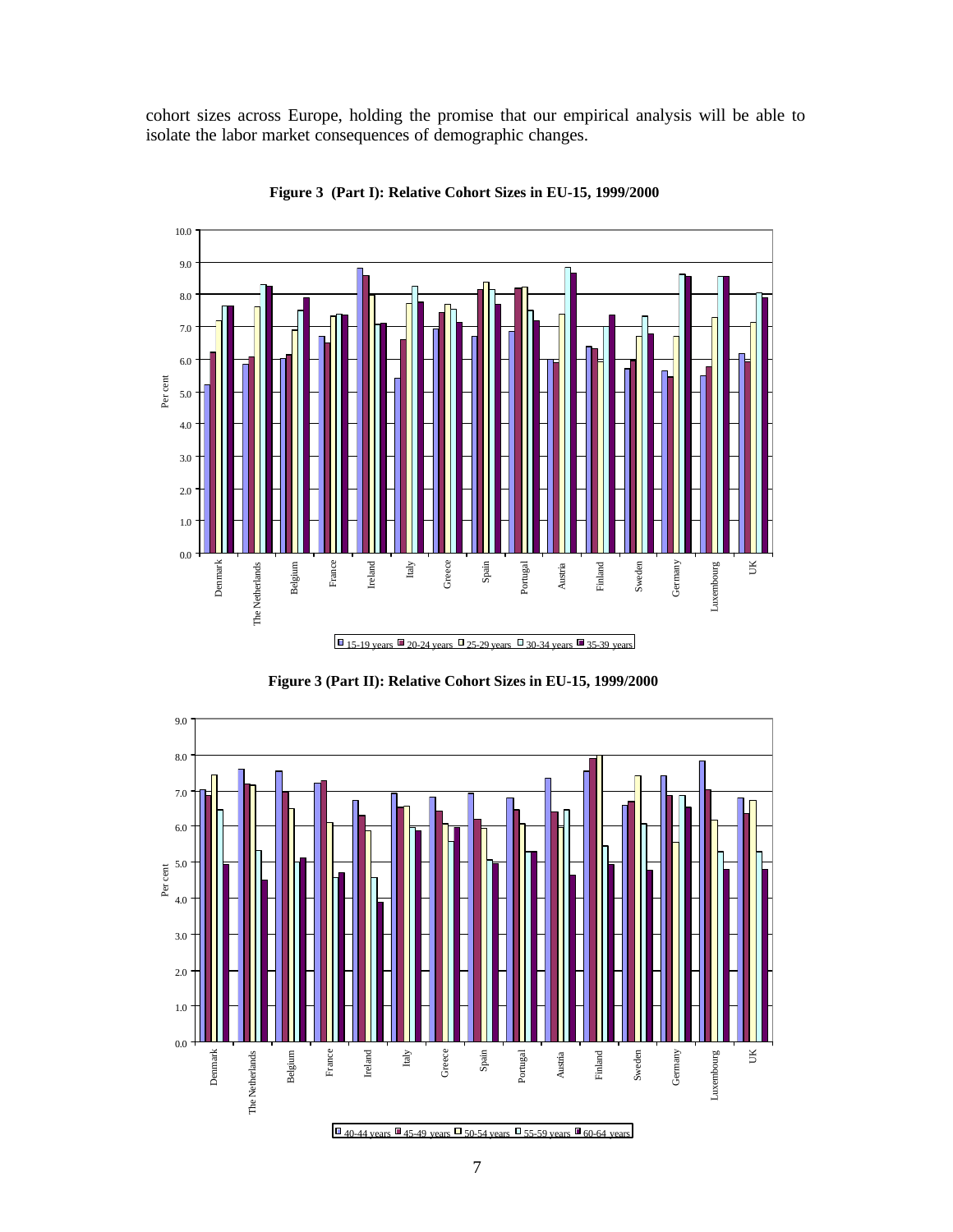cohort sizes across Europe, holding the promise that our empirical analysis will be able to isolate the labor market consequences of demographic changes.



**Figure 3 (Part I): Relative Cohort Sizes in EU-15, 1999/2000**



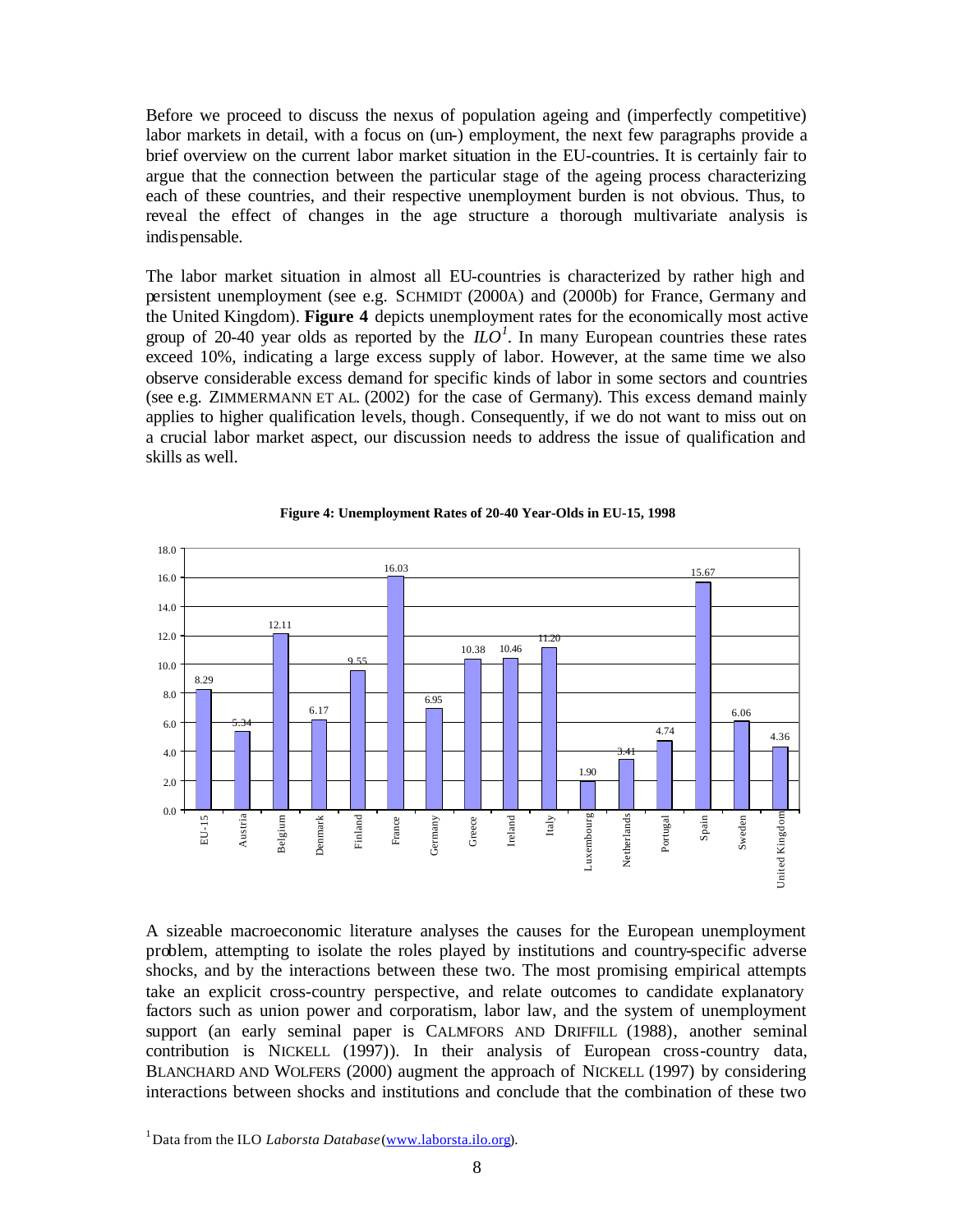Before we proceed to discuss the nexus of population ageing and (imperfectly competitive) labor markets in detail, with a focus on (un-) employment, the next few paragraphs provide a brief overview on the current labor market situation in the EU-countries. It is certainly fair to argue that the connection between the particular stage of the ageing process characterizing each of these countries, and their respective unemployment burden is not obvious. Thus, to reveal the effect of changes in the age structure a thorough multivariate analysis is indispensable.

The labor market situation in almost all EU-countries is characterized by rather high and persistent unemployment (see e.g. SCHMIDT (2000A) and (2000b) for France, Germany and the United Kingdom). **Figure 4** depicts unemployment rates for the economically most active group of 20-40 year olds as reported by the  $ILO<sup>1</sup>$ . In many European countries these rates exceed 10%, indicating a large excess supply of labor. However, at the same time we also observe considerable excess demand for specific kinds of labor in some sectors and countries (see e.g. ZIMMERMANN ET AL. (2002) for the case of Germany). This excess demand mainly applies to higher qualification levels, though. Consequently, if we do not want to miss out on a crucial labor market aspect, our discussion needs to address the issue of qualification and skills as well.



#### **Figure 4: Unemployment Rates of 20-40 Year-Olds in EU-15, 1998**

A sizeable macroeconomic literature analyses the causes for the European unemployment problem, attempting to isolate the roles played by institutions and country-specific adverse shocks, and by the interactions between these two. The most promising empirical attempts take an explicit cross-country perspective, and relate outcomes to candidate explanatory factors such as union power and corporatism, labor law, and the system of unemployment support (an early seminal paper is CALMFORS AND DRIFFILL (1988), another seminal contribution is NICKELL (1997)). In their analysis of European cross-country data, BLANCHARD AND WOLFERS (2000) augment the approach of NICKELL (1997) by considering interactions between shocks and institutions and conclude that the combination of these two

<sup>&</sup>lt;sup>1</sup> Data from the ILO *Laborsta Database* (www.laborsta.ilo.org).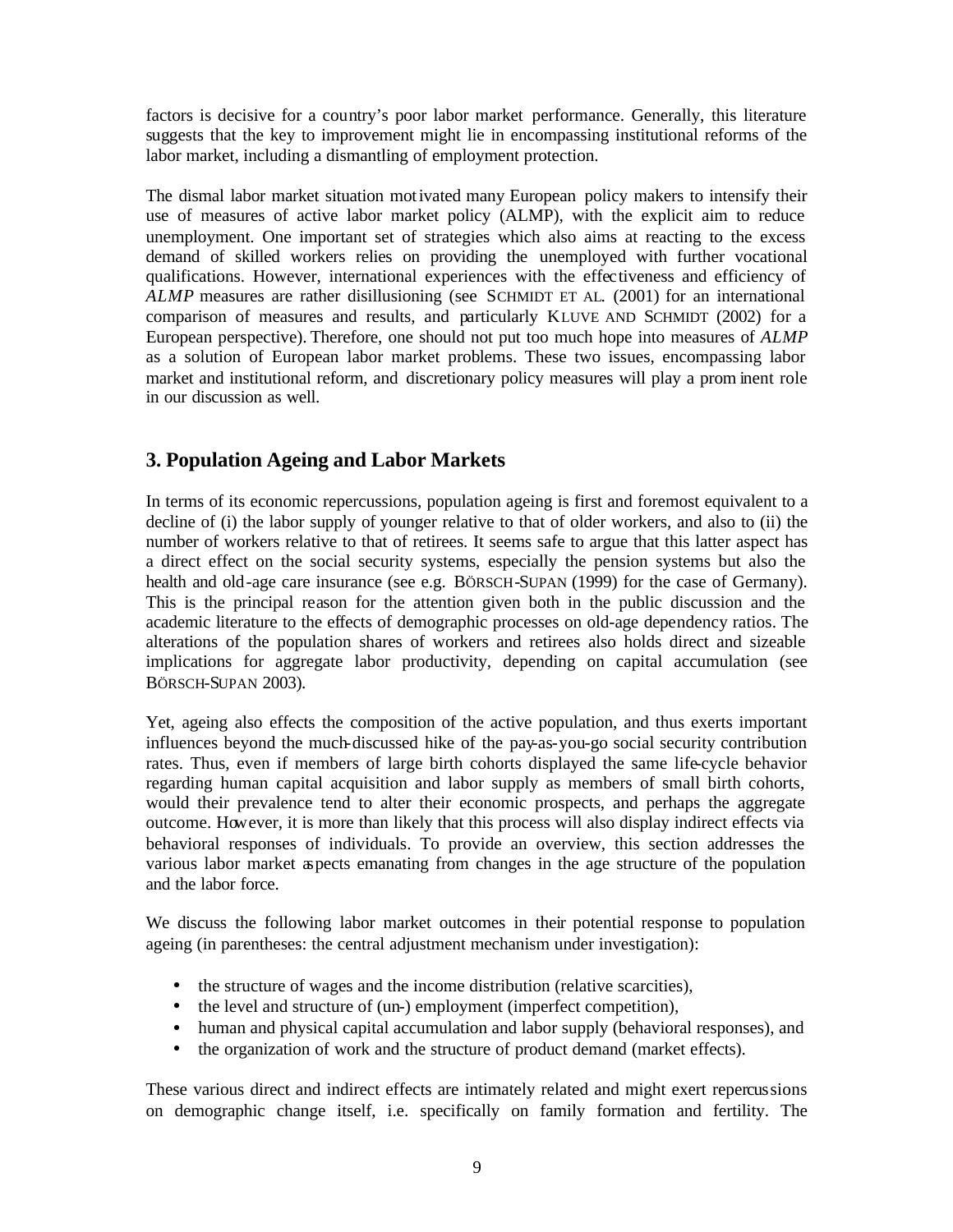factors is decisive for a country's poor labor market performance. Generally, this literature suggests that the key to improvement might lie in encompassing institutional reforms of the labor market, including a dismantling of employment protection.

The dismal labor market situation motivated many European policy makers to intensify their use of measures of active labor market policy (ALMP), with the explicit aim to reduce unemployment. One important set of strategies which also aims at reacting to the excess demand of skilled workers relies on providing the unemployed with further vocational qualifications. However, international experiences with the effectiveness and efficiency of *ALMP* measures are rather disillusioning (see SCHMIDT ET AL. (2001) for an international comparison of measures and results, and particularly KLUVE AND SCHMIDT (2002) for a European perspective). Therefore, one should not put too much hope into measures of *ALMP* as a solution of European labor market problems. These two issues, encompassing labor market and institutional reform, and discretionary policy measures will play a prom inent role in our discussion as well.

### **3. Population Ageing and Labor Markets**

In terms of its economic repercussions, population ageing is first and foremost equivalent to a decline of (i) the labor supply of younger relative to that of older workers, and also to (ii) the number of workers relative to that of retirees. It seems safe to argue that this latter aspect has a direct effect on the social security systems, especially the pension systems but also the health and old-age care insurance (see e.g. BÖRSCH-SUPAN (1999) for the case of Germany). This is the principal reason for the attention given both in the public discussion and the academic literature to the effects of demographic processes on old-age dependency ratios. The alterations of the population shares of workers and retirees also holds direct and sizeable implications for aggregate labor productivity, depending on capital accumulation (see BÖRSCH-SUPAN 2003).

Yet, ageing also effects the composition of the active population, and thus exerts important influences beyond the much-discussed hike of the pay-as-you-go social security contribution rates. Thus, even if members of large birth cohorts displayed the same life-cycle behavior regarding human capital acquisition and labor supply as members of small birth cohorts, would their prevalence tend to alter their economic prospects, and perhaps the aggregate outcome. However, it is more than likely that this process will also display indirect effects via behavioral responses of individuals. To provide an overview, this section addresses the various labor market aspects emanating from changes in the age structure of the population and the labor force.

We discuss the following labor market outcomes in their potential response to population ageing (in parentheses: the central adjustment mechanism under investigation):

- the structure of wages and the income distribution (relative scarcities),
- the level and structure of (un-) employment (imperfect competition),
- human and physical capital accumulation and labor supply (behavioral responses), and
- the organization of work and the structure of product demand (market effects).

These various direct and indirect effects are intimately related and might exert repercussions on demographic change itself, i.e. specifically on family formation and fertility. The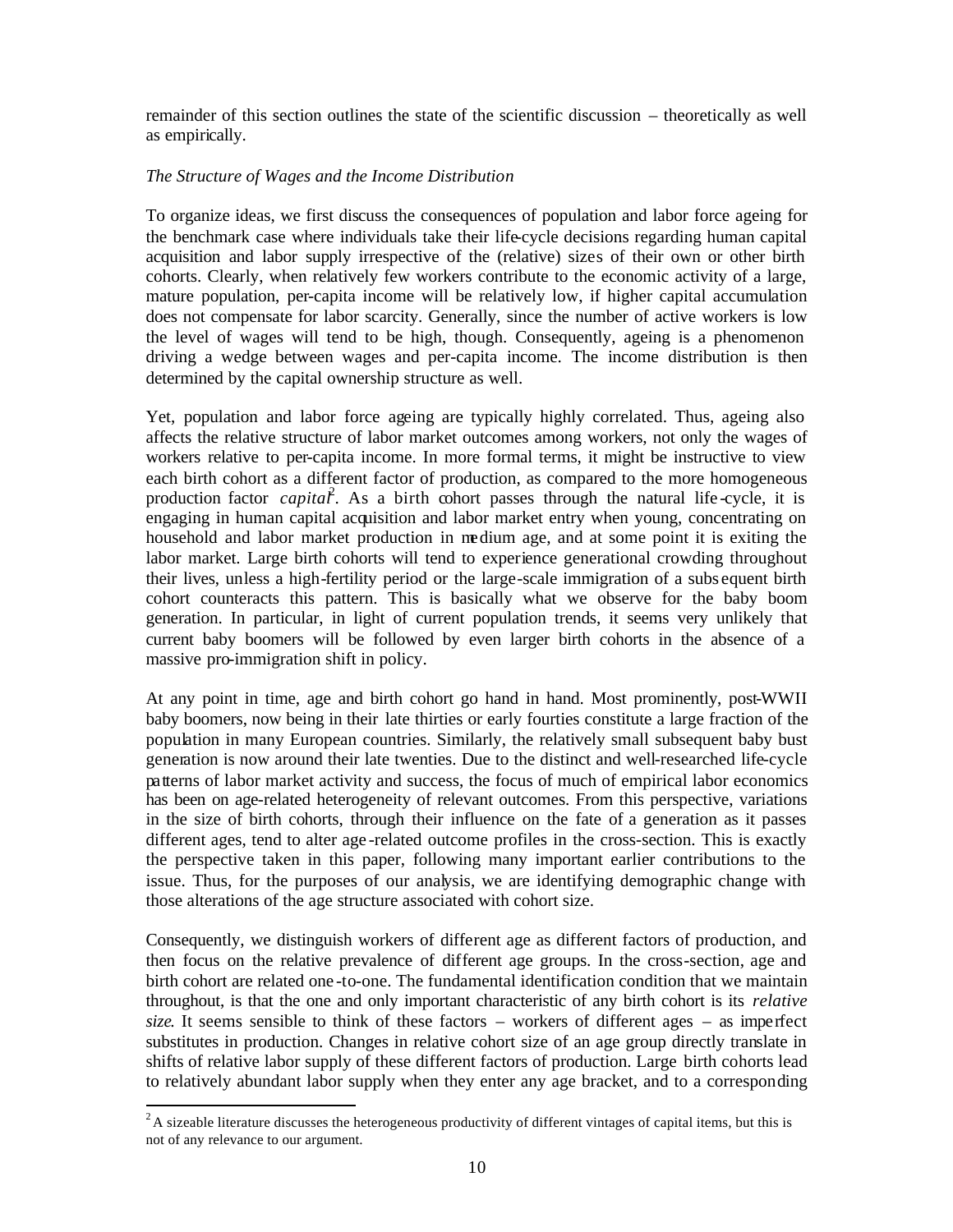remainder of this section outlines the state of the scientific discussion – theoretically as well as empirically.

#### *The Structure of Wages and the Income Distribution*

To organize ideas, we first discuss the consequences of population and labor force ageing for the benchmark case where individuals take their life-cycle decisions regarding human capital acquisition and labor supply irrespective of the (relative) sizes of their own or other birth cohorts. Clearly, when relatively few workers contribute to the economic activity of a large, mature population, per-capita income will be relatively low, if higher capital accumulation does not compensate for labor scarcity. Generally, since the number of active workers is low the level of wages will tend to be high, though. Consequently, ageing is a phenomenon driving a wedge between wages and per-capita income. The income distribution is then determined by the capital ownership structure as well.

Yet, population and labor force ageing are typically highly correlated. Thus, ageing also affects the relative structure of labor market outcomes among workers, not only the wages of workers relative to per-capita income. In more formal terms, it might be instructive to view each birth cohort as a different factor of production, as compared to the more homogeneous production factor *capital*<sup>2</sup>. As a birth cohort passes through the natural life-cycle, it is engaging in human capital acquisition and labor market entry when young, concentrating on household and labor market production in medium age, and at some point it is exiting the labor market. Large birth cohorts will tend to experience generational crowding throughout their lives, unless a high-fertility period or the large-scale immigration of a subs equent birth cohort counteracts this pattern. This is basically what we observe for the baby boom generation. In particular, in light of current population trends, it seems very unlikely that current baby boomers will be followed by even larger birth cohorts in the absence of a massive pro-immigration shift in policy.

At any point in time, age and birth cohort go hand in hand. Most prominently, post-WWII baby boomers, now being in their late thirties or early fourties constitute a large fraction of the population in many European countries. Similarly, the relatively small subsequent baby bust generation is now around their late twenties. Due to the distinct and well-researched life-cycle patterns of labor market activity and success, the focus of much of empirical labor economics has been on age-related heterogeneity of relevant outcomes. From this perspective, variations in the size of birth cohorts, through their influence on the fate of a generation as it passes different ages, tend to alter age -related outcome profiles in the cross-section. This is exactly the perspective taken in this paper, following many important earlier contributions to the issue. Thus, for the purposes of our analysis, we are identifying demographic change with those alterations of the age structure associated with cohort size.

Consequently, we distinguish workers of different age as different factors of production, and then focus on the relative prevalence of different age groups. In the cross-section, age and birth cohort are related one -to-one. The fundamental identification condition that we maintain throughout, is that the one and only important characteristic of any birth cohort is its *relative size*. It seems sensible to think of these factors – workers of different ages – as imperfect substitutes in production. Changes in relative cohort size of an age group directly translate in shifts of relative labor supply of these different factors of production. Large birth cohorts lead to relatively abundant labor supply when they enter any age bracket, and to a corresponding

<sup>&</sup>lt;sup>2</sup> A sizeable literature discusses the heterogeneous productivity of different vintages of capital items, but this is not of any relevance to our argument.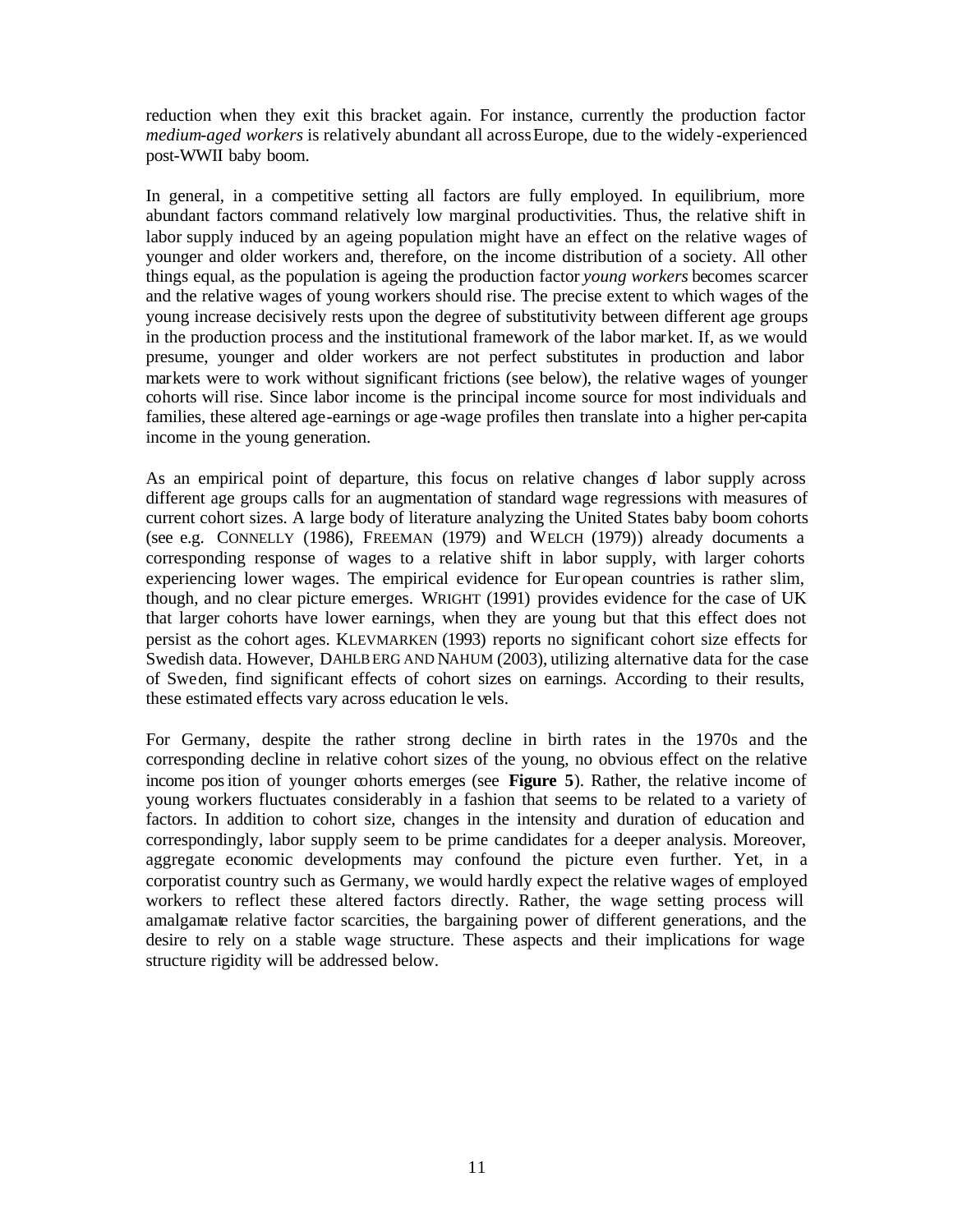reduction when they exit this bracket again. For instance, currently the production factor *medium-aged workers* is relatively abundant all across Europe, due to the widely -experienced post-WWII baby boom.

In general, in a competitive setting all factors are fully employed. In equilibrium, more abundant factors command relatively low marginal productivities. Thus, the relative shift in labor supply induced by an ageing population might have an effect on the relative wages of younger and older workers and, therefore, on the income distribution of a society. All other things equal, as the population is ageing the production factor *young workers* becomes scarcer and the relative wages of young workers should rise. The precise extent to which wages of the young increase decisively rests upon the degree of substitutivity between different age groups in the production process and the institutional framework of the labor market. If, as we would presume, younger and older workers are not perfect substitutes in production and labor markets were to work without significant frictions (see below), the relative wages of younger cohorts will rise. Since labor income is the principal income source for most individuals and families, these altered age-earnings or age -wage profiles then translate into a higher per-capita income in the young generation.

As an empirical point of departure, this focus on relative changes of labor supply across different age groups calls for an augmentation of standard wage regressions with measures of current cohort sizes. A large body of literature analyzing the United States baby boom cohorts (see e.g. CONNELLY (1986), FREEMAN (1979) and WELCH (1979)) already documents a corresponding response of wages to a relative shift in labor supply, with larger cohorts experiencing lower wages. The empirical evidence for Eur opean countries is rather slim, though, and no clear picture emerges. WRIGHT (1991) provides evidence for the case of UK that larger cohorts have lower earnings, when they are young but that this effect does not persist as the cohort ages. KLEVMARKEN (1993) reports no significant cohort size effects for Swedish data. However, DAHLBERG AND NAHUM (2003), utilizing alternative data for the case of Sweden, find significant effects of cohort sizes on earnings. According to their results, these estimated effects vary across education le vels.

For Germany, despite the rather strong decline in birth rates in the 1970s and the corresponding decline in relative cohort sizes of the young, no obvious effect on the relative income position of younger cohorts emerges (see **Figure 5**). Rather, the relative income of young workers fluctuates considerably in a fashion that seems to be related to a variety of factors. In addition to cohort size, changes in the intensity and duration of education and correspondingly, labor supply seem to be prime candidates for a deeper analysis. Moreover, aggregate economic developments may confound the picture even further. Yet, in a corporatist country such as Germany, we would hardly expect the relative wages of employed workers to reflect these altered factors directly. Rather, the wage setting process will amalgamate relative factor scarcities, the bargaining power of different generations, and the desire to rely on a stable wage structure. These aspects and their implications for wage structure rigidity will be addressed below.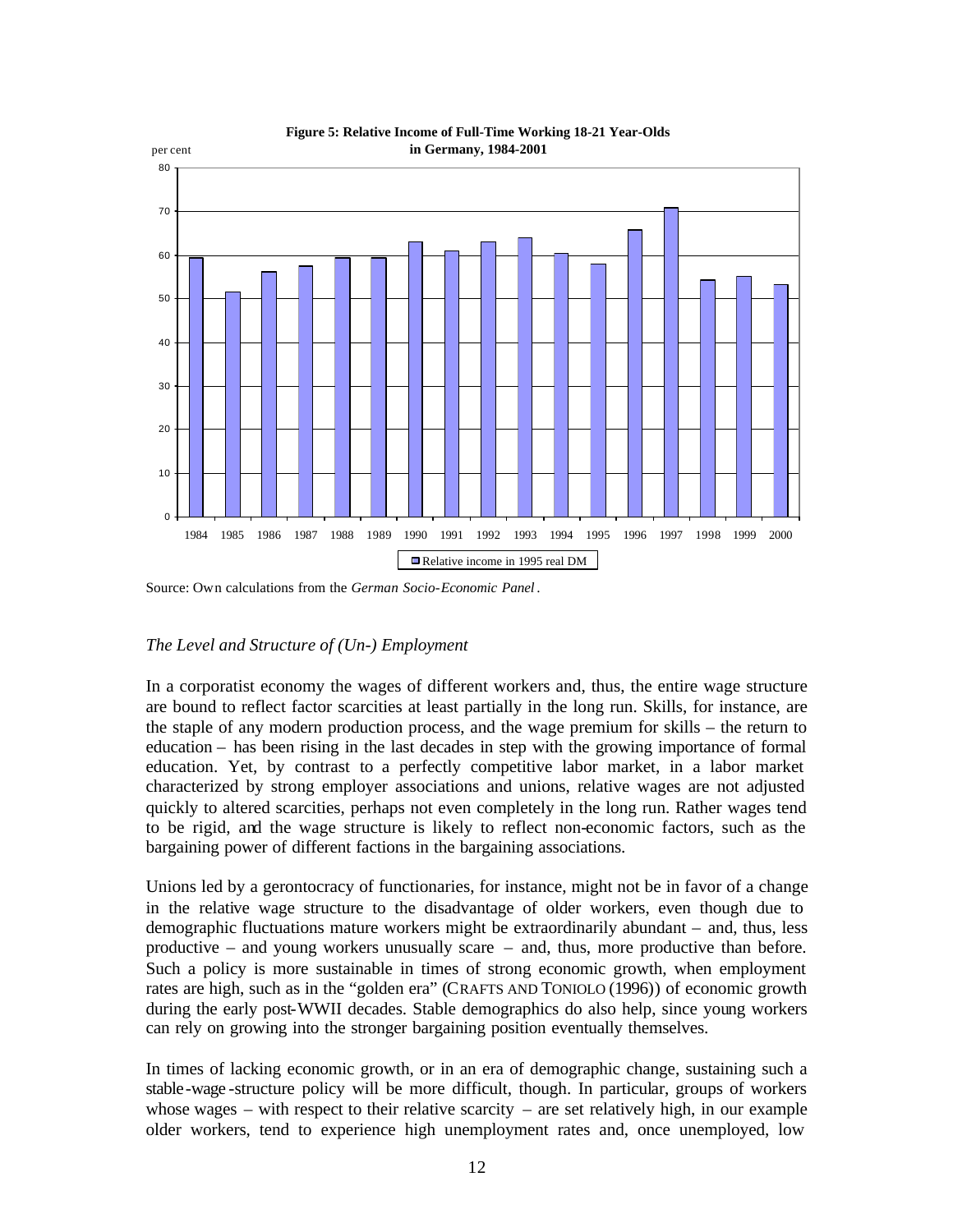

**Figure 5: Relative Income of Full-Time Working 18-21 Year-Olds** 

#### *The Level and Structure of (Un-) Employment*

In a corporatist economy the wages of different workers and, thus, the entire wage structure are bound to reflect factor scarcities at least partially in the long run. Skills, for instance, are the staple of any modern production process, and the wage premium for skills – the return to education – has been rising in the last decades in step with the growing importance of formal education. Yet, by contrast to a perfectly competitive labor market, in a labor market characterized by strong employer associations and unions, relative wages are not adjusted quickly to altered scarcities, perhaps not even completely in the long run. Rather wages tend to be rigid, and the wage structure is likely to reflect non-economic factors, such as the bargaining power of different factions in the bargaining associations.

Unions led by a gerontocracy of functionaries, for instance, might not be in favor of a change in the relative wage structure to the disadvantage of older workers, even though due to demographic fluctuations mature workers might be extraordinarily abundant – and, thus, less productive – and young workers unusually scare – and, thus, more productive than before. Such a policy is more sustainable in times of strong economic growth, when employment rates are high, such as in the "golden era" (CRAFTS AND TONIOLO (1996)) of economic growth during the early post-WWII decades. Stable demographics do also help, since young workers can rely on growing into the stronger bargaining position eventually themselves.

In times of lacking economic growth, or in an era of demographic change, sustaining such a stable-wage -structure policy will be more difficult, though. In particular, groups of workers whose wages  $-$  with respect to their relative scarcity  $-$  are set relatively high, in our example older workers, tend to experience high unemployment rates and, once unemployed, low

Source: Own calculations from the *German Socio-Economic Panel* .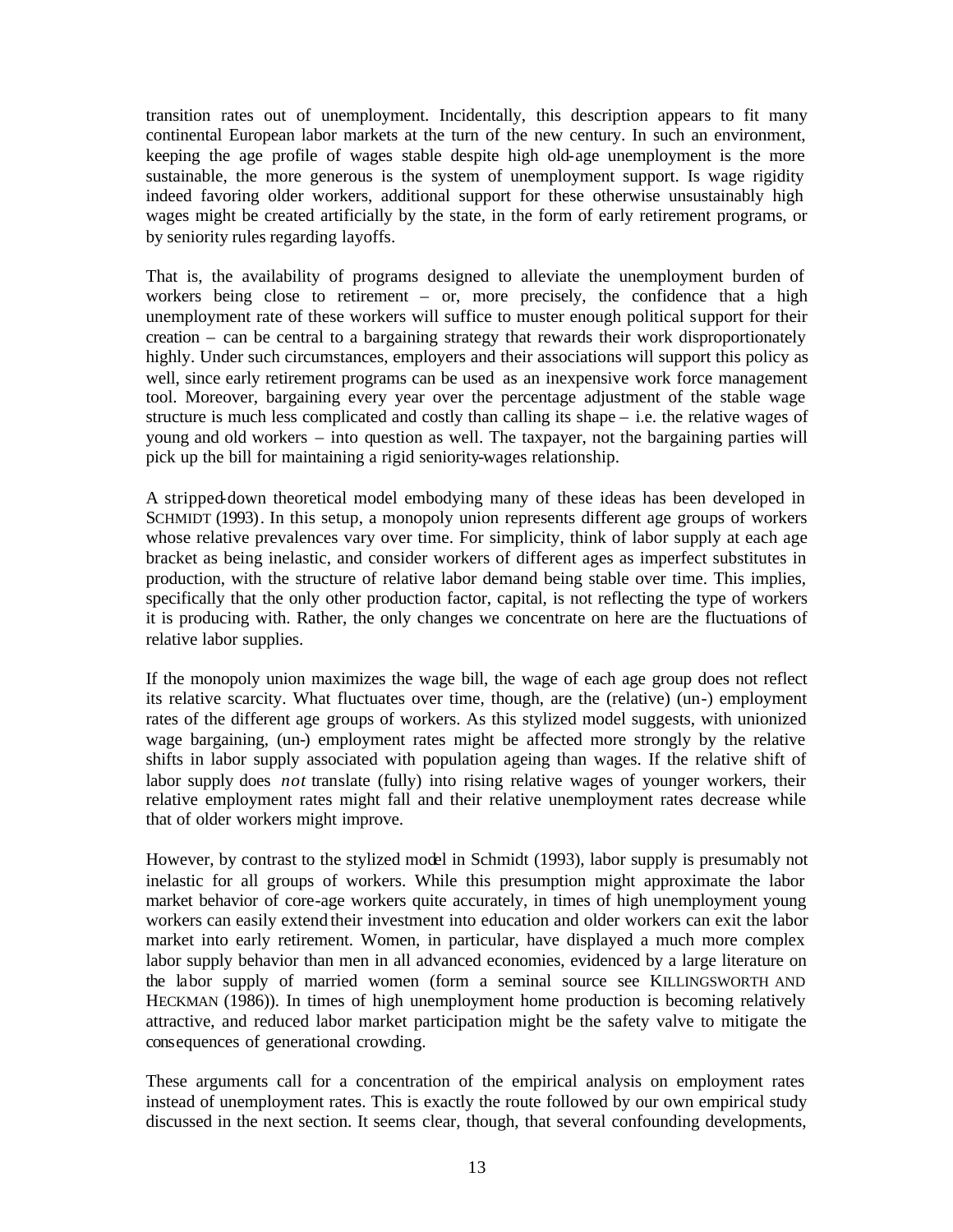transition rates out of unemployment. Incidentally, this description appears to fit many continental European labor markets at the turn of the new century. In such an environment, keeping the age profile of wages stable despite high old-age unemployment is the more sustainable, the more generous is the system of unemployment support. Is wage rigidity indeed favoring older workers, additional support for these otherwise unsustainably high wages might be created artificially by the state, in the form of early retirement programs, or by seniority rules regarding layoffs.

That is, the availability of programs designed to alleviate the unemployment burden of workers being close to retirement – or, more precisely, the confidence that a high unemployment rate of these workers will suffice to muster enough political support for their creation – can be central to a bargaining strategy that rewards their work disproportionately highly. Under such circumstances, employers and their associations will support this policy as well, since early retirement programs can be used as an inexpensive work force management tool. Moreover, bargaining every year over the percentage adjustment of the stable wage structure is much less complicated and costly than calling its shape – i.e. the relative wages of young and old workers – into question as well. The taxpayer, not the bargaining parties will pick up the bill for maintaining a rigid seniority-wages relationship.

A stripped-down theoretical model embodying many of these ideas has been developed in SCHMIDT (1993). In this setup, a monopoly union represents different age groups of workers whose relative prevalences vary over time. For simplicity, think of labor supply at each age bracket as being inelastic, and consider workers of different ages as imperfect substitutes in production, with the structure of relative labor demand being stable over time. This implies, specifically that the only other production factor, capital, is not reflecting the type of workers it is producing with. Rather, the only changes we concentrate on here are the fluctuations of relative labor supplies.

If the monopoly union maximizes the wage bill, the wage of each age group does not reflect its relative scarcity. What fluctuates over time, though, are the (relative) (un-) employment rates of the different age groups of workers. As this stylized model suggests, with unionized wage bargaining, (un-) employment rates might be affected more strongly by the relative shifts in labor supply associated with population ageing than wages. If the relative shift of labor supply does *not* translate (fully) into rising relative wages of younger workers, their relative employment rates might fall and their relative unemployment rates decrease while that of older workers might improve.

However, by contrast to the stylized model in Schmidt (1993), labor supply is presumably not inelastic for all groups of workers. While this presumption might approximate the labor market behavior of core-age workers quite accurately, in times of high unemployment young workers can easily extend their investment into education and older workers can exit the labor market into early retirement. Women, in particular, have displayed a much more complex labor supply behavior than men in all advanced economies, evidenced by a large literature on the labor supply of married women (form a seminal source see KILLINGSWORTH AND HECKMAN (1986)). In times of high unemployment home production is becoming relatively attractive, and reduced labor market participation might be the safety valve to mitigate the consequences of generational crowding.

These arguments call for a concentration of the empirical analysis on employment rates instead of unemployment rates. This is exactly the route followed by our own empirical study discussed in the next section. It seems clear, though, that several confounding developments,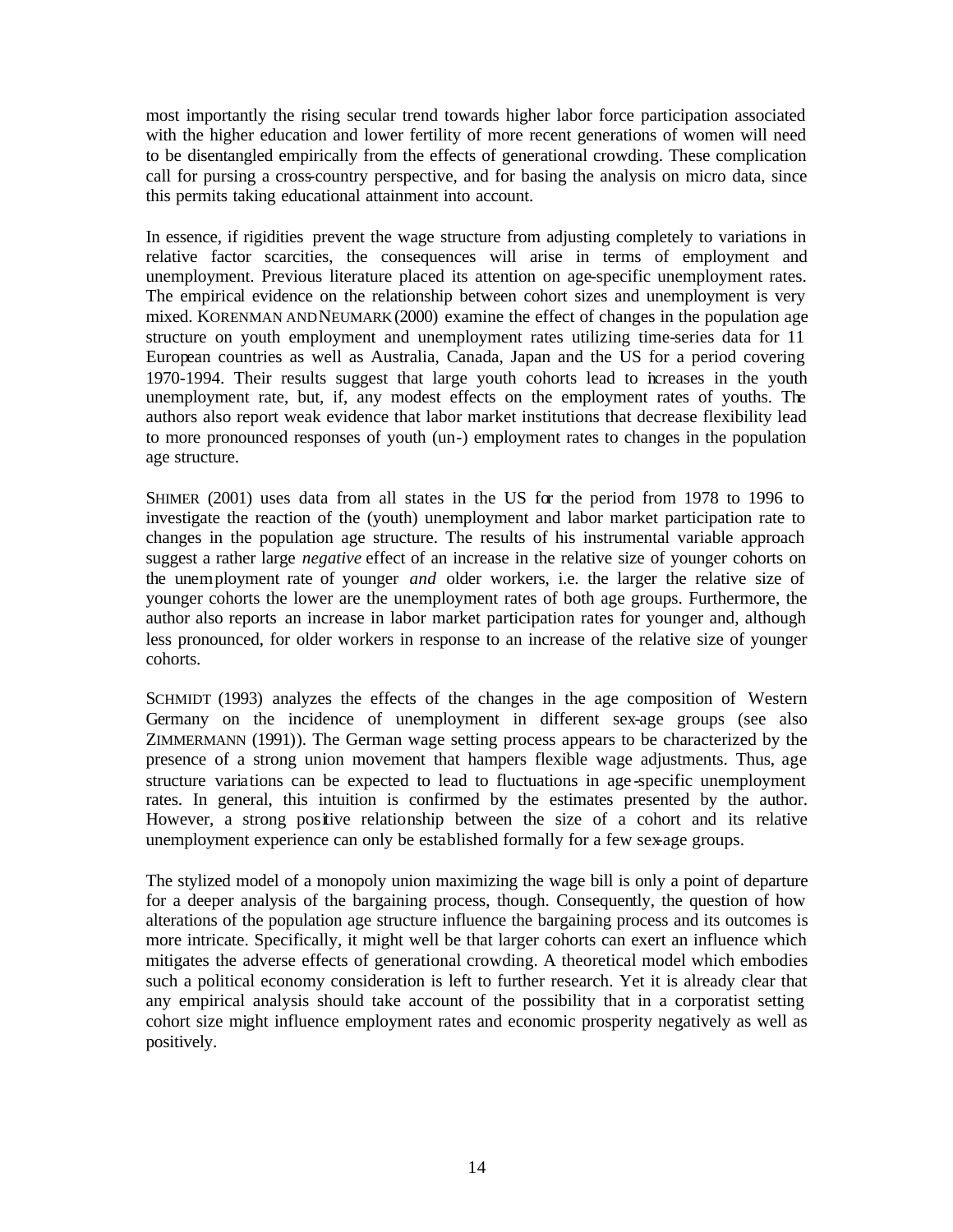most importantly the rising secular trend towards higher labor force participation associated with the higher education and lower fertility of more recent generations of women will need to be disentangled empirically from the effects of generational crowding. These complication call for pursing a cross-country perspective, and for basing the analysis on micro data, since this permits taking educational attainment into account.

In essence, if rigidities prevent the wage structure from adjusting completely to variations in relative factor scarcities, the consequences will arise in terms of employment and unemployment. Previous literature placed its attention on age-specific unemployment rates. The empirical evidence on the relationship between cohort sizes and unemployment is very mixed. KORENMAN AND NEUMARK (2000) examine the effect of changes in the population age structure on youth employment and unemployment rates utilizing time-series data for 11 European countries as well as Australia, Canada, Japan and the US for a period covering 1970-1994. Their results suggest that large youth cohorts lead to increases in the youth unemployment rate, but, if, any modest effects on the employment rates of youths. The authors also report weak evidence that labor market institutions that decrease flexibility lead to more pronounced responses of youth (un-) employment rates to changes in the population age structure.

SHIMER (2001) uses data from all states in the US for the period from 1978 to 1996 to investigate the reaction of the (youth) unemployment and labor market participation rate to changes in the population age structure. The results of his instrumental variable approach suggest a rather large *negative* effect of an increase in the relative size of younger cohorts on the unemployment rate of younger *and* older workers, i.e. the larger the relative size of younger cohorts the lower are the unemployment rates of both age groups. Furthermore, the author also reports an increase in labor market participation rates for younger and, although less pronounced, for older workers in response to an increase of the relative size of younger cohorts.

SCHMIDT (1993) analyzes the effects of the changes in the age composition of Western Germany on the incidence of unemployment in different sex-age groups (see also ZIMMERMANN (1991)). The German wage setting process appears to be characterized by the presence of a strong union movement that hampers flexible wage adjustments. Thus, age structure variations can be expected to lead to fluctuations in age -specific unemployment rates. In general, this intuition is confirmed by the estimates presented by the author. However, a strong positive relationship between the size of a cohort and its relative unemployment experience can only be established formally for a few sex-age groups.

The stylized model of a monopoly union maximizing the wage bill is only a point of departure for a deeper analysis of the bargaining process, though. Consequently, the question of how alterations of the population age structure influence the bargaining process and its outcomes is more intricate. Specifically, it might well be that larger cohorts can exert an influence which mitigates the adverse effects of generational crowding. A theoretical model which embodies such a political economy consideration is left to further research. Yet it is already clear that any empirical analysis should take account of the possibility that in a corporatist setting cohort size might influence employment rates and economic prosperity negatively as well as positively.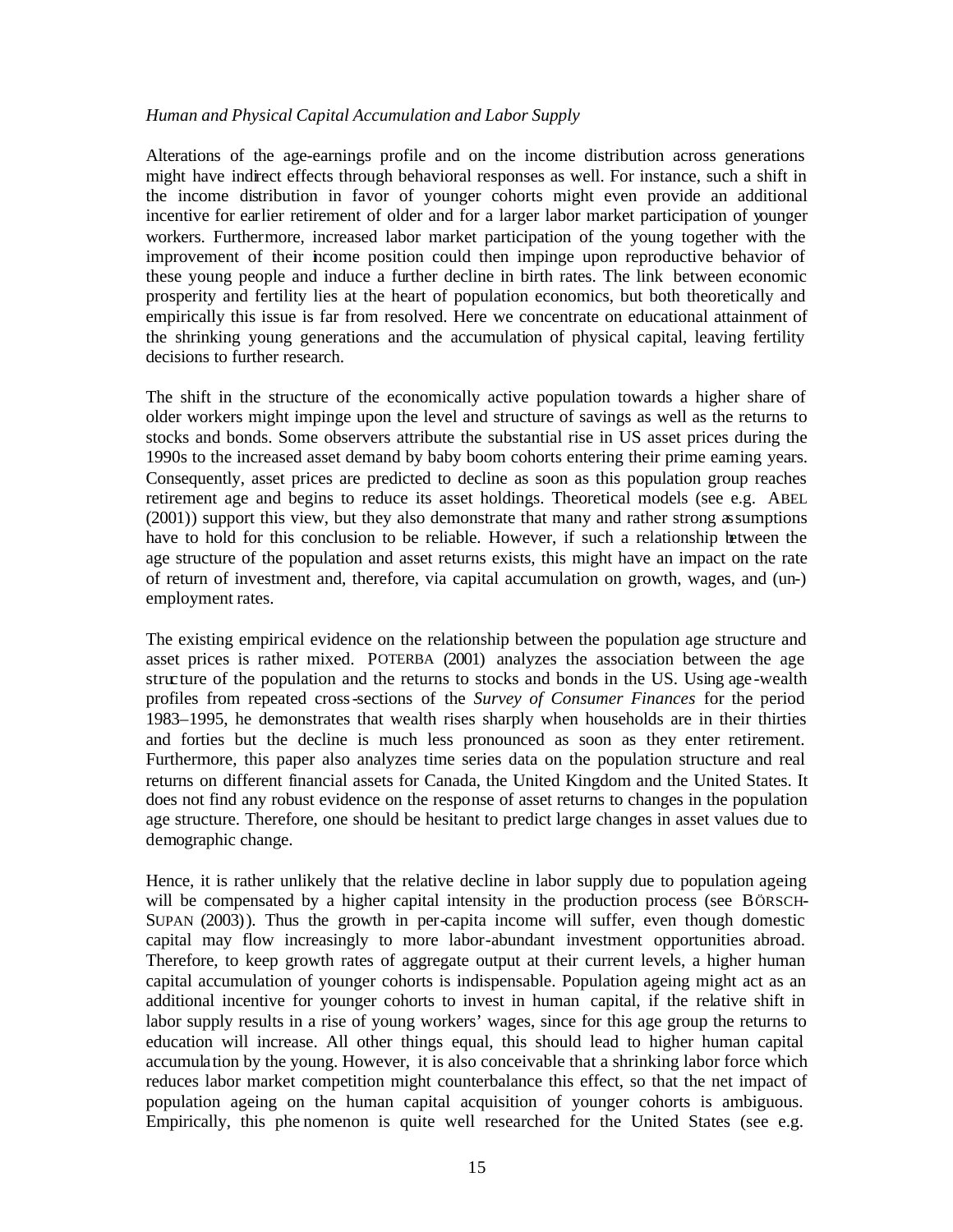#### *Human and Physical Capital Accumulation and Labor Supply*

Alterations of the age-earnings profile and on the income distribution across generations might have indirect effects through behavioral responses as well. For instance, such a shift in the income distribution in favor of younger cohorts might even provide an additional incentive for earlier retirement of older and for a larger labor market participation of younger workers. Furthermore, increased labor market participation of the young together with the improvement of their income position could then impinge upon reproductive behavior of these young people and induce a further decline in birth rates. The link between economic prosperity and fertility lies at the heart of population economics, but both theoretically and empirically this issue is far from resolved. Here we concentrate on educational attainment of the shrinking young generations and the accumulation of physical capital, leaving fertility decisions to further research.

The shift in the structure of the economically active population towards a higher share of older workers might impinge upon the level and structure of savings as well as the returns to stocks and bonds. Some observers attribute the substantial rise in US asset prices during the 1990s to the increased asset demand by baby boom cohorts entering their prime earning years. Consequently, asset prices are predicted to decline as soon as this population group reaches retirement age and begins to reduce its asset holdings. Theoretical models (see e.g. ABEL (2001)) support this view, but they also demonstrate that many and rather strong assumptions have to hold for this conclusion to be reliable. However, if such a relationship between the age structure of the population and asset returns exists, this might have an impact on the rate of return of investment and, therefore, via capital accumulation on growth, wages, and (un-) employment rates.

The existing empirical evidence on the relationship between the population age structure and asset prices is rather mixed. POTERBA (2001) analyzes the association between the age structure of the population and the returns to stocks and bonds in the US. Using age-wealth profiles from repeated cross-sections of the *Survey of Consumer Finances* for the period 1983–1995, he demonstrates that wealth rises sharply when households are in their thirties and forties but the decline is much less pronounced as soon as they enter retirement. Furthermore, this paper also analyzes time series data on the population structure and real returns on different financial assets for Canada, the United Kingdom and the United States. It does not find any robust evidence on the response of asset returns to changes in the population age structure. Therefore, one should be hesitant to predict large changes in asset values due to demographic change.

Hence, it is rather unlikely that the relative decline in labor supply due to population ageing will be compensated by a higher capital intensity in the production process (see BÖRSCH-SUPAN (2003)). Thus the growth in per-capita income will suffer, even though domestic capital may flow increasingly to more labor-abundant investment opportunities abroad. Therefore, to keep growth rates of aggregate output at their current levels, a higher human capital accumulation of younger cohorts is indispensable. Population ageing might act as an additional incentive for younger cohorts to invest in human capital, if the relative shift in labor supply results in a rise of young workers' wages, since for this age group the returns to education will increase. All other things equal, this should lead to higher human capital accumulation by the young. However, it is also conceivable that a shrinking labor force which reduces labor market competition might counterbalance this effect, so that the net impact of population ageing on the human capital acquisition of younger cohorts is ambiguous. Empirically, this phe nomenon is quite well researched for the United States (see e.g.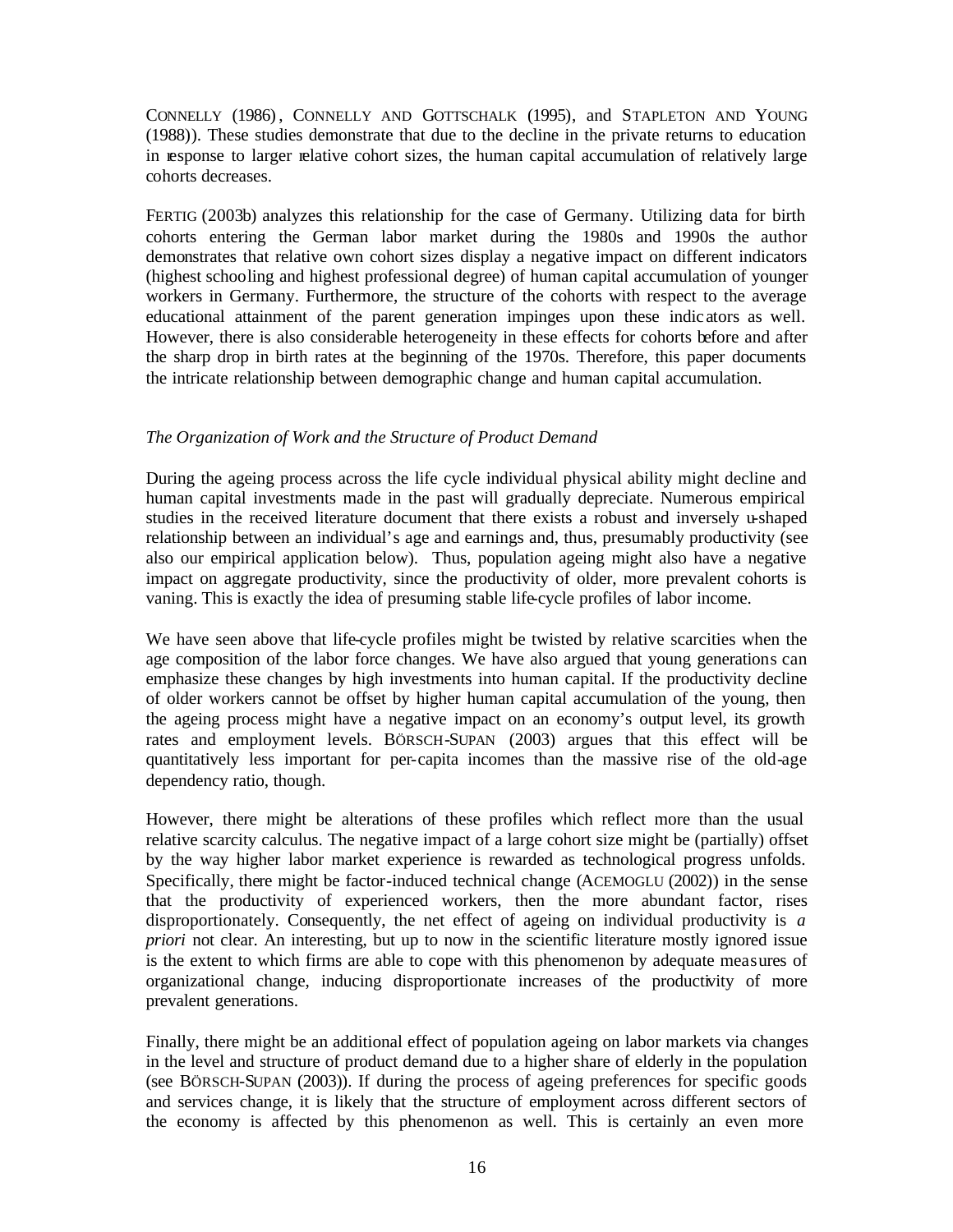CONNELLY (1986) , CONNELLY AND GOTTSCHALK (1995), and STAPLETON AND YOUNG (1988)). These studies demonstrate that due to the decline in the private returns to education in response to larger relative cohort sizes, the human capital accumulation of relatively large cohorts decreases.

FERTIG (2003b) analyzes this relationship for the case of Germany. Utilizing data for birth cohorts entering the German labor market during the 1980s and 1990s the author demonstrates that relative own cohort sizes display a negative impact on different indicators (highest schooling and highest professional degree) of human capital accumulation of younger workers in Germany. Furthermore, the structure of the cohorts with respect to the average educational attainment of the parent generation impinges upon these indic ators as well. However, there is also considerable heterogeneity in these effects for cohorts before and after the sharp drop in birth rates at the beginning of the 1970s. Therefore, this paper documents the intricate relationship between demographic change and human capital accumulation.

#### *The Organization of Work and the Structure of Product Demand*

During the ageing process across the life cycle individual physical ability might decline and human capital investments made in the past will gradually depreciate. Numerous empirical studies in the received literature document that there exists a robust and inversely u-shaped relationship between an individual's age and earnings and, thus, presumably productivity (see also our empirical application below). Thus, population ageing might also have a negative impact on aggregate productivity, since the productivity of older, more prevalent cohorts is vaning. This is exactly the idea of presuming stable life-cycle profiles of labor income.

We have seen above that life-cycle profiles might be twisted by relative scarcities when the age composition of the labor force changes. We have also argued that young generations can emphasize these changes by high investments into human capital. If the productivity decline of older workers cannot be offset by higher human capital accumulation of the young, then the ageing process might have a negative impact on an economy's output level, its growth rates and employment levels. BÖRSCH-SUPAN (2003) argues that this effect will be quantitatively less important for per-capita incomes than the massive rise of the old-age dependency ratio, though.

However, there might be alterations of these profiles which reflect more than the usual relative scarcity calculus. The negative impact of a large cohort size might be (partially) offset by the way higher labor market experience is rewarded as technological progress unfolds. Specifically, there might be factor-induced technical change (ACEMOGLU (2002)) in the sense that the productivity of experienced workers, then the more abundant factor, rises disproportionately. Consequently, the net effect of ageing on individual productivity is *a priori* not clear. An interesting, but up to now in the scientific literature mostly ignored issue is the extent to which firms are able to cope with this phenomenon by adequate measures of organizational change, inducing disproportionate increases of the productivity of more prevalent generations.

Finally, there might be an additional effect of population ageing on labor markets via changes in the level and structure of product demand due to a higher share of elderly in the population (see BÖRSCH-SUPAN (2003)). If during the process of ageing preferences for specific goods and services change, it is likely that the structure of employment across different sectors of the economy is affected by this phenomenon as well. This is certainly an even more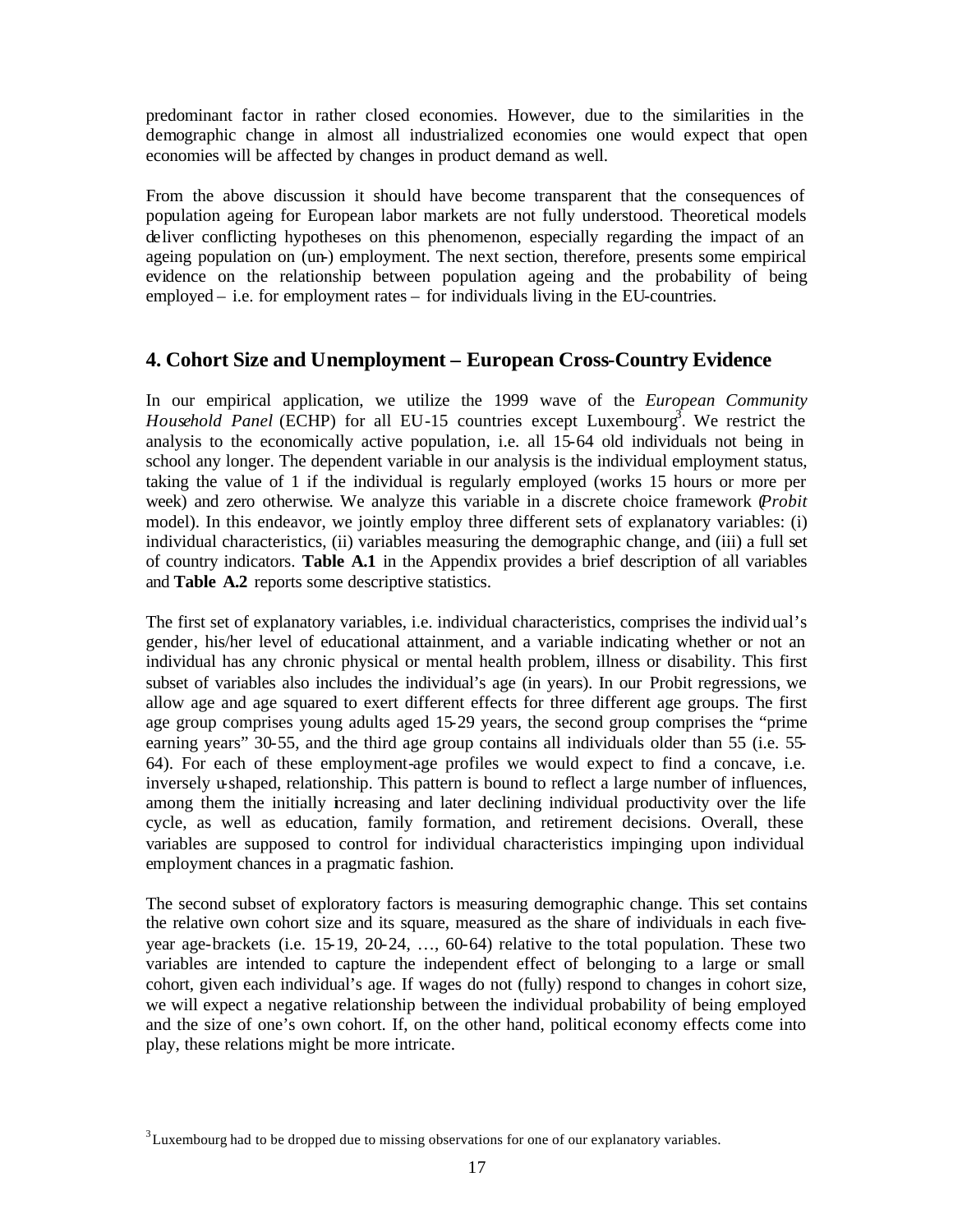predominant factor in rather closed economies. However, due to the similarities in the demographic change in almost all industrialized economies one would expect that open economies will be affected by changes in product demand as well.

From the above discussion it should have become transparent that the consequences of population ageing for European labor markets are not fully understood. Theoretical models deliver conflicting hypotheses on this phenomenon, especially regarding the impact of an ageing population on (un-) employment. The next section, therefore, presents some empirical evidence on the relationship between population ageing and the probability of being employed – i.e. for employment rates – for individuals living in the EU-countries.

### **4. Cohort Size and Unemployment – European Cross-Country Evidence**

In our empirical application, we utilize the 1999 wave of the *European Community Household Panel* (ECHP) for all EU-15 countries except Luxembourg<sup>3</sup>. We restrict the analysis to the economically active population, i.e. all 15-64 old individuals not being in school any longer. The dependent variable in our analysis is the individual employment status, taking the value of 1 if the individual is regularly employed (works 15 hours or more per week) and zero otherwise. We analyze this variable in a discrete choice framework (*Probit* model). In this endeavor, we jointly employ three different sets of explanatory variables: (i) individual characteristics, (ii) variables measuring the demographic change, and (iii) a full set of country indicators. **Table A.1** in the Appendix provides a brief description of all variables and **Table A.2** reports some descriptive statistics.

The first set of explanatory variables, i.e. individual characteristics, comprises the individ ual's gender, his/her level of educational attainment, and a variable indicating whether or not an individual has any chronic physical or mental health problem, illness or disability. This first subset of variables also includes the individual's age (in years). In our Probit regressions, we allow age and age squared to exert different effects for three different age groups. The first age group comprises young adults aged 15-29 years, the second group comprises the "prime earning years" 30-55, and the third age group contains all individuals older than 55 (i.e. 55- 64). For each of these employment-age profiles we would expect to find a concave, i.e. inversely u-shaped, relationship. This pattern is bound to reflect a large number of influences, among them the initially increasing and later declining individual productivity over the life cycle, as well as education, family formation, and retirement decisions. Overall, these variables are supposed to control for individual characteristics impinging upon individual employment chances in a pragmatic fashion.

The second subset of exploratory factors is measuring demographic change. This set contains the relative own cohort size and its square, measured as the share of individuals in each fiveyear age-brackets (i.e. 15-19, 20-24, …, 60-64) relative to the total population. These two variables are intended to capture the independent effect of belonging to a large or small cohort, given each individual's age. If wages do not (fully) respond to changes in cohort size, we will expect a negative relationship between the individual probability of being employed and the size of one's own cohort. If, on the other hand, political economy effects come into play, these relations might be more intricate.

 $3$ Luxembourg had to be dropped due to missing observations for one of our explanatory variables.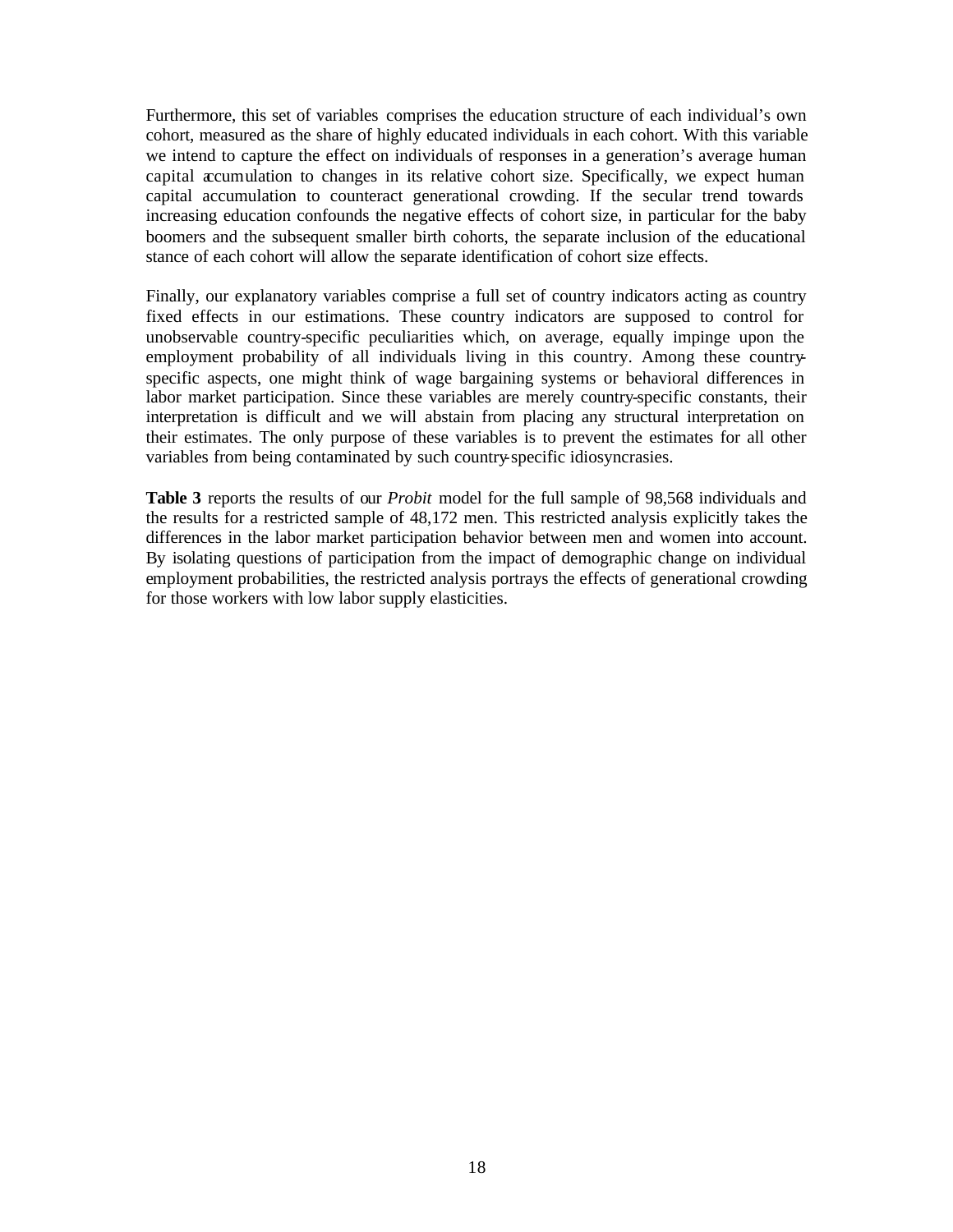Furthermore, this set of variables comprises the education structure of each individual's own cohort, measured as the share of highly educated individuals in each cohort. With this variable we intend to capture the effect on individuals of responses in a generation's average human capital accumulation to changes in its relative cohort size. Specifically, we expect human capital accumulation to counteract generational crowding. If the secular trend towards increasing education confounds the negative effects of cohort size, in particular for the baby boomers and the subsequent smaller birth cohorts, the separate inclusion of the educational stance of each cohort will allow the separate identification of cohort size effects.

Finally, our explanatory variables comprise a full set of country indicators acting as country fixed effects in our estimations. These country indicators are supposed to control for unobservable country-specific peculiarities which, on average, equally impinge upon the employment probability of all individuals living in this country. Among these countryspecific aspects, one might think of wage bargaining systems or behavioral differences in labor market participation. Since these variables are merely country-specific constants, their interpretation is difficult and we will abstain from placing any structural interpretation on their estimates. The only purpose of these variables is to prevent the estimates for all other variables from being contaminated by such country-specific idiosyncrasies.

**Table 3** reports the results of our *Probit* model for the full sample of 98,568 individuals and the results for a restricted sample of 48,172 men. This restricted analysis explicitly takes the differences in the labor market participation behavior between men and women into account. By isolating questions of participation from the impact of demographic change on individual employment probabilities, the restricted analysis portrays the effects of generational crowding for those workers with low labor supply elasticities.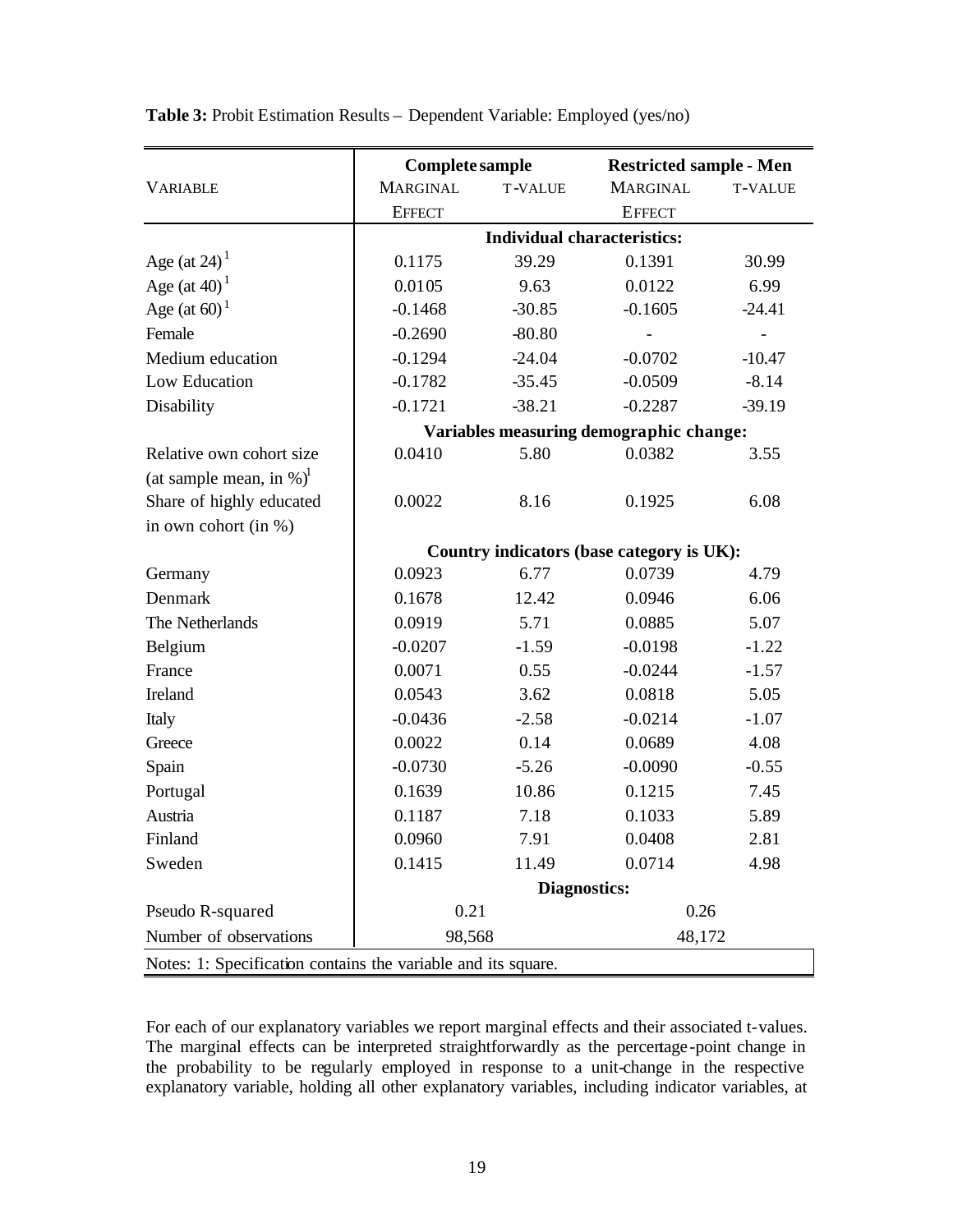|                                                               | Complete sample<br><b>Restricted sample - Men</b> |                     |                                           |                |  |
|---------------------------------------------------------------|---------------------------------------------------|---------------------|-------------------------------------------|----------------|--|
| <b>VARIABLE</b>                                               | <b>MARGINAL</b>                                   | <b>T-VALUE</b>      | <b>MARGINAL</b>                           | <b>T-VALUE</b> |  |
|                                                               | <b>EFFECT</b>                                     |                     | <b>EFFECT</b>                             |                |  |
|                                                               | <b>Individual characteristics:</b>                |                     |                                           |                |  |
| Age (at $24$ ) <sup>1</sup>                                   | 0.1175                                            | 39.29               | 0.1391                                    | 30.99          |  |
| Age (at $40$ ) <sup>1</sup>                                   | 0.0105                                            | 9.63                | 0.0122                                    | 6.99           |  |
| Age (at $60$ ) <sup>1</sup>                                   | $-0.1468$                                         | $-30.85$            | $-0.1605$                                 | $-24.41$       |  |
| Female                                                        | $-0.2690$                                         | $-80.80$            |                                           |                |  |
| Medium education                                              | $-0.1294$                                         | $-24.04$            | $-0.0702$                                 | $-10.47$       |  |
| Low Education                                                 | $-0.1782$                                         | $-35.45$            | $-0.0509$                                 | $-8.14$        |  |
| Disability                                                    | $-0.1721$                                         | $-38.21$            | $-0.2287$                                 | $-39.19$       |  |
|                                                               | Variables measuring demographic change:           |                     |                                           |                |  |
| Relative own cohort size                                      | 0.0410                                            | 5.80                | 0.0382                                    | 3.55           |  |
| (at sample mean, in $\%$ ) <sup>1</sup>                       |                                                   |                     |                                           |                |  |
| Share of highly educated                                      | 0.0022                                            | 8.16                | 0.1925                                    | 6.08           |  |
| in own cohort (in %)                                          |                                                   |                     |                                           |                |  |
|                                                               |                                                   |                     | Country indicators (base category is UK): |                |  |
| Germany                                                       | 0.0923                                            | 6.77                | 0.0739                                    | 4.79           |  |
| Denmark                                                       | 0.1678                                            | 12.42               | 0.0946                                    | 6.06           |  |
| The Netherlands                                               | 0.0919                                            | 5.71                | 0.0885                                    | 5.07           |  |
| Belgium                                                       | $-0.0207$                                         | $-1.59$             | $-0.0198$                                 | $-1.22$        |  |
| France                                                        | 0.0071                                            | 0.55                | $-0.0244$                                 | $-1.57$        |  |
| Ireland                                                       | 0.0543                                            | 3.62                | 0.0818                                    | 5.05           |  |
| Italy                                                         | $-0.0436$                                         | $-2.58$             | $-0.0214$                                 | $-1.07$        |  |
| Greece                                                        | 0.0022                                            | 0.14                | 0.0689                                    | 4.08           |  |
| Spain                                                         | $-0.0730$                                         | $-5.26$             | $-0.0090$                                 | $-0.55$        |  |
| Portugal                                                      | 0.1639                                            | 10.86               | 0.1215                                    | 7.45           |  |
| Austria                                                       | 0.1187                                            | 7.18                | 0.1033                                    | 5.89           |  |
| Finland                                                       | 0.0960                                            | 7.91                | 0.0408                                    | 2.81           |  |
| Sweden                                                        | 0.1415                                            | 11.49               | 0.0714                                    | 4.98           |  |
|                                                               |                                                   | <b>Diagnostics:</b> |                                           |                |  |
| Pseudo R-squared                                              | 0.21                                              |                     |                                           | 0.26           |  |
| Number of observations                                        | 48,172<br>98,568                                  |                     |                                           |                |  |
| Notes: 1: Specification contains the variable and its square. |                                                   |                     |                                           |                |  |

**Table 3:** Probit Estimation Results – Dependent Variable: Employed (yes/no)

For each of our explanatory variables we report marginal effects and their associated t-values. The marginal effects can be interpreted straightforwardly as the percentage -point change in the probability to be regularly employed in response to a unit-change in the respective explanatory variable, holding all other explanatory variables, including indicator variables, at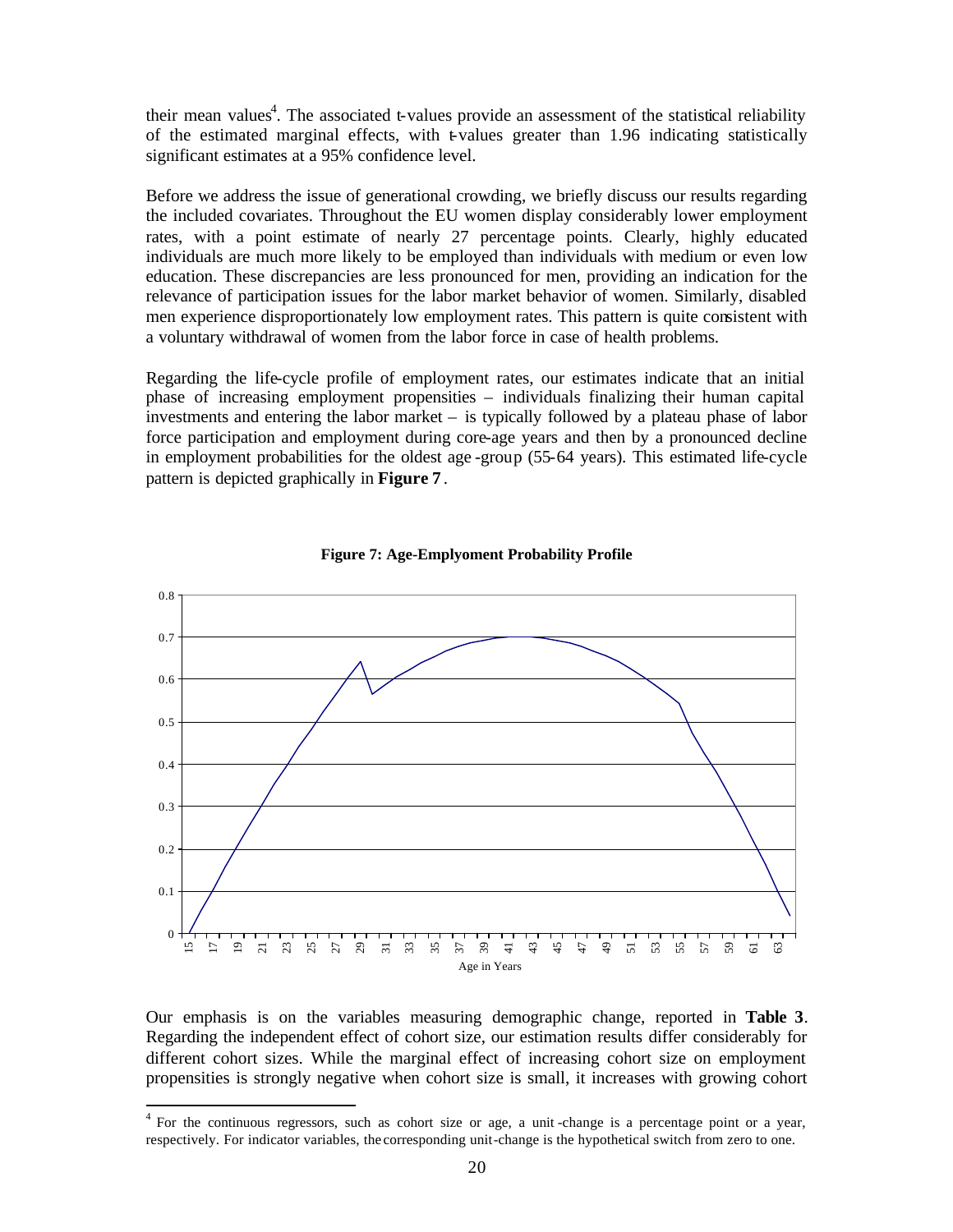their mean values<sup>4</sup>. The associated t-values provide an assessment of the statistical reliability of the estimated marginal effects, with t-values greater than  $1.96$  indicating statistically significant estimates at a 95% confidence level.

Before we address the issue of generational crowding, we briefly discuss our results regarding the included covariates. Throughout the EU women display considerably lower employment rates, with a point estimate of nearly 27 percentage points. Clearly, highly educated individuals are much more likely to be employed than individuals with medium or even low education. These discrepancies are less pronounced for men, providing an indication for the relevance of participation issues for the labor market behavior of women. Similarly, disabled men experience disproportionately low employment rates. This pattern is quite consistent with a voluntary withdrawal of women from the labor force in case of health problems.

Regarding the life-cycle profile of employment rates, our estimates indicate that an initial phase of increasing employment propensities – individuals finalizing their human capital investments and entering the labor market – is typically followed by a plateau phase of labor force participation and employment during core-age years and then by a pronounced decline in employment probabilities for the oldest age -group (55-64 years). This estimated life-cycle pattern is depicted graphically in **Figure 7** .





Our emphasis is on the variables measuring demographic change, reported in **Table 3**. Regarding the independent effect of cohort size, our estimation results differ considerably for different cohort sizes. While the marginal effect of increasing cohort size on employment propensities is strongly negative when cohort size is small, it increases with growing cohort

<sup>&</sup>lt;sup>4</sup> For the continuous regressors, such as cohort size or age, a unit-change is a percentage point or a year, respectively. For indicator variables, the corresponding unit-change is the hypothetical switch from zero to one.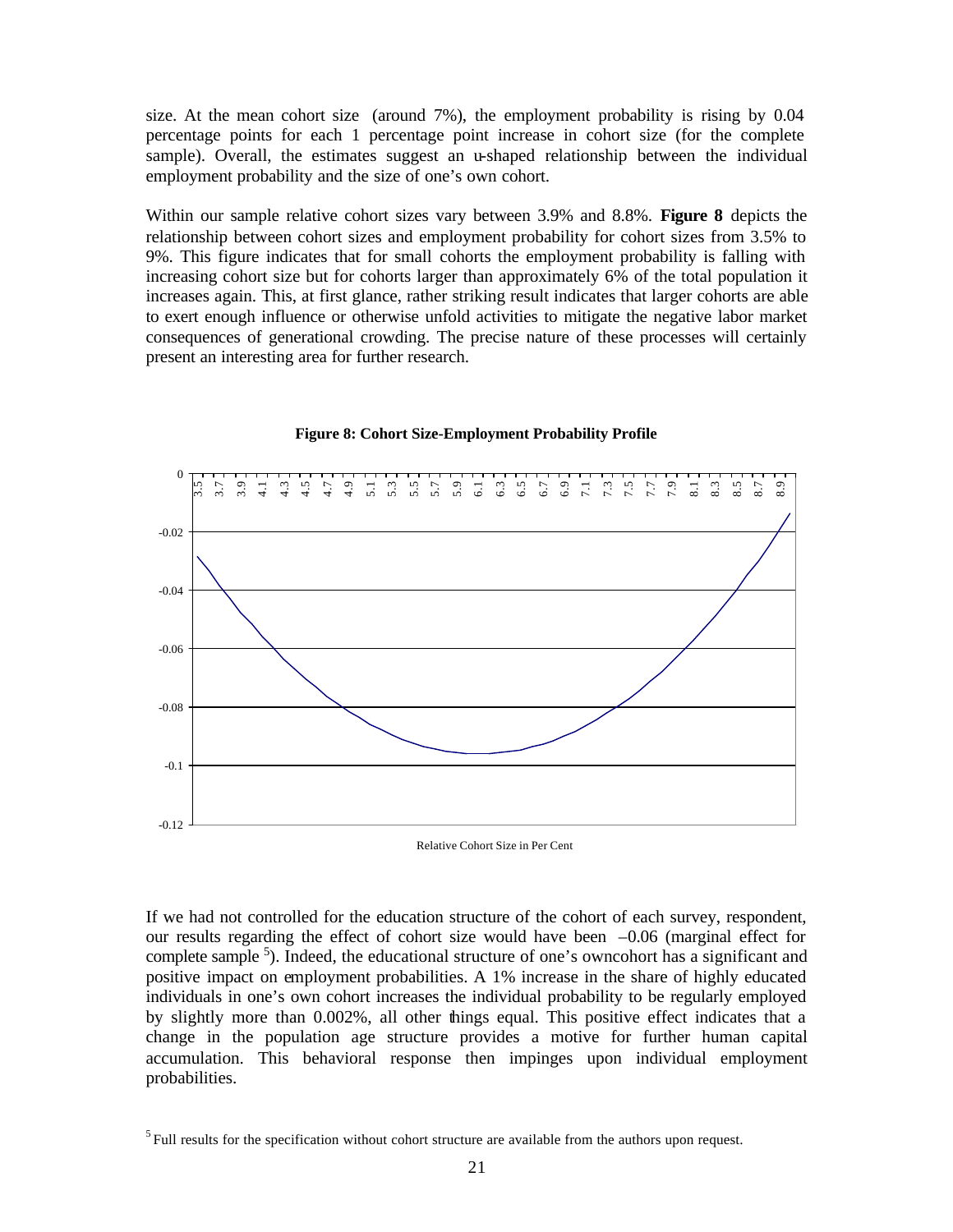size. At the mean cohort size (around 7%), the employment probability is rising by 0.04 percentage points for each 1 percentage point increase in cohort size (for the complete sample). Overall, the estimates suggest an u-shaped relationship between the individual employment probability and the size of one's own cohort.

Within our sample relative cohort sizes vary between 3.9% and 8.8%. **Figure 8** depicts the relationship between cohort sizes and employment probability for cohort sizes from 3.5% to 9%. This figure indicates that for small cohorts the employment probability is falling with increasing cohort size but for cohorts larger than approximately 6% of the total population it increases again. This, at first glance, rather striking result indicates that larger cohorts are able to exert enough influence or otherwise unfold activities to mitigate the negative labor market consequences of generational crowding. The precise nature of these processes will certainly present an interesting area for further research.



**Figure 8: Cohort Size-Employment Probability Profile**

Relative Cohort Size in Per Cent

If we had not controlled for the education structure of the cohort of each survey, respondent, our results regarding the effect of cohort size would have been –0.06 (marginal effect for complete sample <sup>5</sup>). Indeed, the educational structure of one's own cohort has a significant and positive impact on employment probabilities. A 1% increase in the share of highly educated individuals in one's own cohort increases the individual probability to be regularly employed by slightly more than 0.002%, all other things equal. This positive effect indicates that a change in the population age structure provides a motive for further human capital accumulation. This behavioral response then impinges upon individual employment probabilities.

 $<sup>5</sup>$  Full results for the specification without cohort structure are available from the authors upon request.</sup>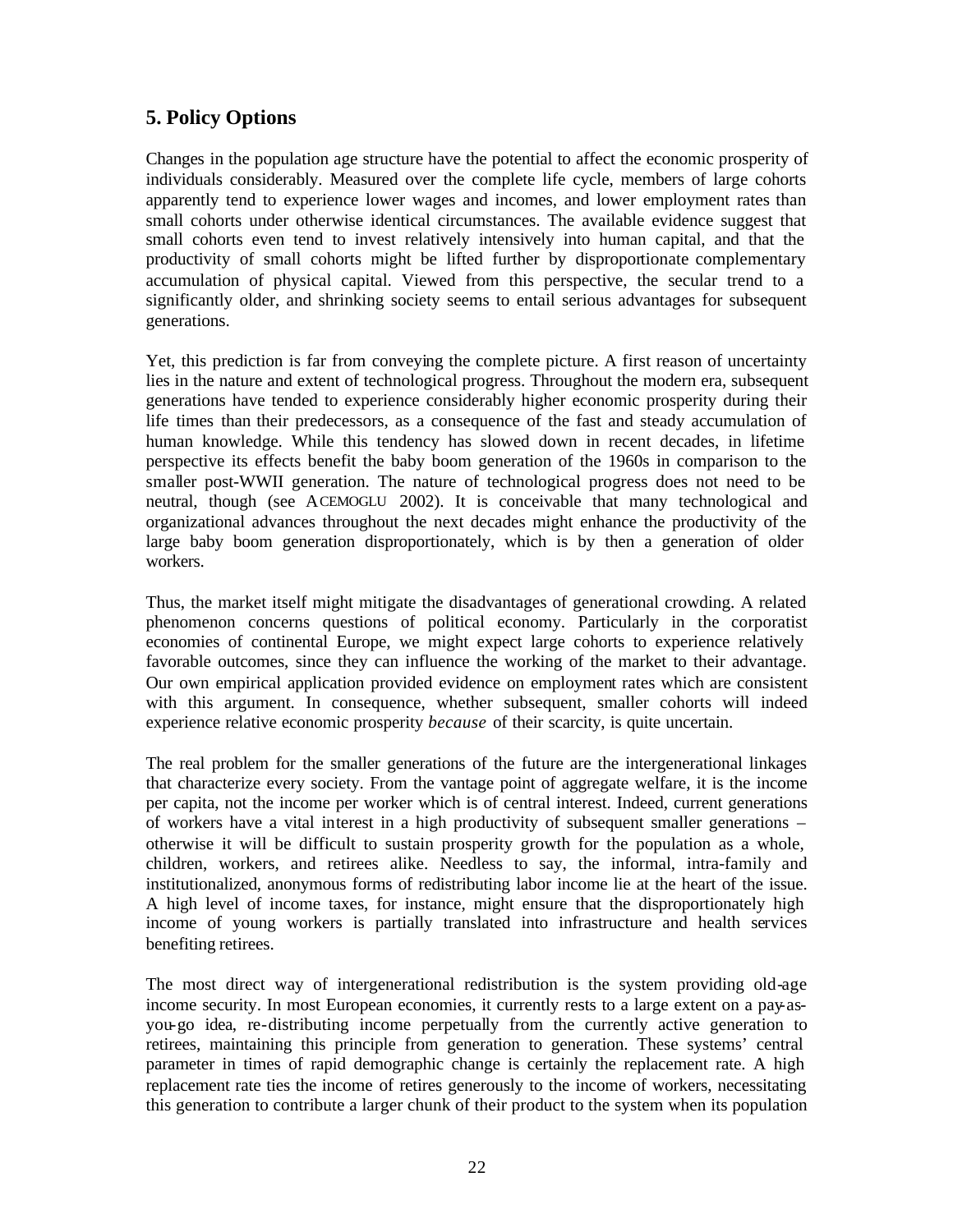### **5. Policy Options**

Changes in the population age structure have the potential to affect the economic prosperity of individuals considerably. Measured over the complete life cycle, members of large cohorts apparently tend to experience lower wages and incomes, and lower employment rates than small cohorts under otherwise identical circumstances. The available evidence suggest that small cohorts even tend to invest relatively intensively into human capital, and that the productivity of small cohorts might be lifted further by disproportionate complementary accumulation of physical capital. Viewed from this perspective, the secular trend to a significantly older, and shrinking society seems to entail serious advantages for subsequent generations.

Yet, this prediction is far from conveying the complete picture. A first reason of uncertainty lies in the nature and extent of technological progress. Throughout the modern era, subsequent generations have tended to experience considerably higher economic prosperity during their life times than their predecessors, as a consequence of the fast and steady accumulation of human knowledge. While this tendency has slowed down in recent decades, in lifetime perspective its effects benefit the baby boom generation of the 1960s in comparison to the smaller post-WWII generation. The nature of technological progress does not need to be neutral, though (see ACEMOGLU 2002). It is conceivable that many technological and organizational advances throughout the next decades might enhance the productivity of the large baby boom generation disproportionately, which is by then a generation of older workers.

Thus, the market itself might mitigate the disadvantages of generational crowding. A related phenomenon concerns questions of political economy. Particularly in the corporatist economies of continental Europe, we might expect large cohorts to experience relatively favorable outcomes, since they can influence the working of the market to their advantage. Our own empirical application provided evidence on employment rates which are consistent with this argument. In consequence, whether subsequent, smaller cohorts will indeed experience relative economic prosperity *because* of their scarcity, is quite uncertain.

The real problem for the smaller generations of the future are the intergenerational linkages that characterize every society. From the vantage point of aggregate welfare, it is the income per capita, not the income per worker which is of central interest. Indeed, current generations of workers have a vital interest in a high productivity of subsequent smaller generations – otherwise it will be difficult to sustain prosperity growth for the population as a whole, children, workers, and retirees alike. Needless to say, the informal, intra-family and institutionalized, anonymous forms of redistributing labor income lie at the heart of the issue. A high level of income taxes, for instance, might ensure that the disproportionately high income of young workers is partially translated into infrastructure and health services benefiting retirees.

The most direct way of intergenerational redistribution is the system providing old-age income security. In most European economies, it currently rests to a large extent on a pay-asyou-go idea, re-distributing income perpetually from the currently active generation to retirees, maintaining this principle from generation to generation. These systems' central parameter in times of rapid demographic change is certainly the replacement rate. A high replacement rate ties the income of retires generously to the income of workers, necessitating this generation to contribute a larger chunk of their product to the system when its population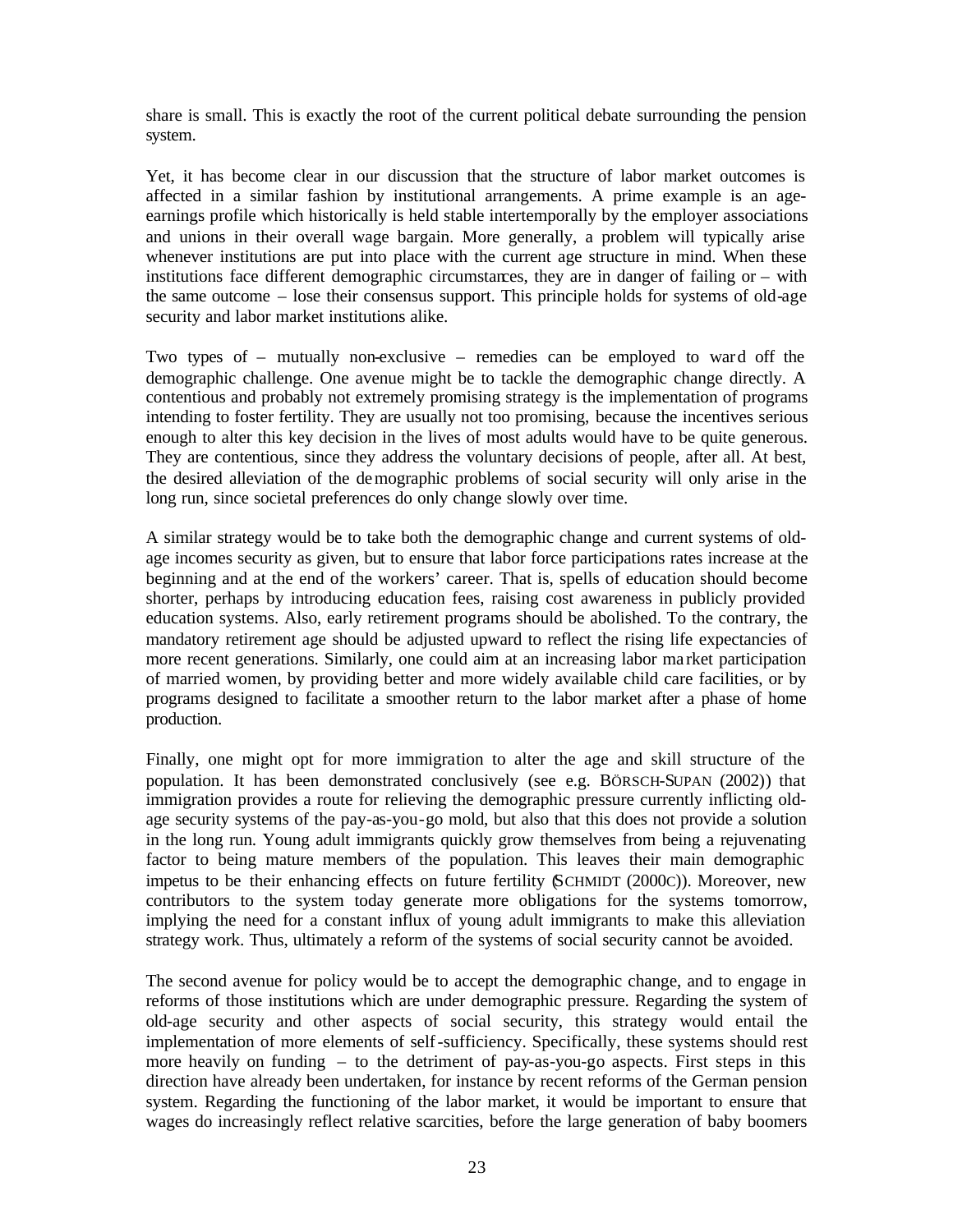share is small. This is exactly the root of the current political debate surrounding the pension system.

Yet, it has become clear in our discussion that the structure of labor market outcomes is affected in a similar fashion by institutional arrangements. A prime example is an ageearnings profile which historically is held stable intertemporally by the employer associations and unions in their overall wage bargain. More generally, a problem will typically arise whenever institutions are put into place with the current age structure in mind. When these institutions face different demographic circumstances, they are in danger of failing or – with the same outcome – lose their consensus support. This principle holds for systems of old-age security and labor market institutions alike.

Two types of – mutually non-exclusive – remedies can be employed to ward off the demographic challenge. One avenue might be to tackle the demographic change directly. A contentious and probably not extremely promising strategy is the implementation of programs intending to foster fertility. They are usually not too promising, because the incentives serious enough to alter this key decision in the lives of most adults would have to be quite generous. They are contentious, since they address the voluntary decisions of people, after all. At best, the desired alleviation of the demographic problems of social security will only arise in the long run, since societal preferences do only change slowly over time.

A similar strategy would be to take both the demographic change and current systems of oldage incomes security as given, but to ensure that labor force participations rates increase at the beginning and at the end of the workers' career. That is, spells of education should become shorter, perhaps by introducing education fees, raising cost awareness in publicly provided education systems. Also, early retirement programs should be abolished. To the contrary, the mandatory retirement age should be adjusted upward to reflect the rising life expectancies of more recent generations. Similarly, one could aim at an increasing labor ma rket participation of married women, by providing better and more widely available child care facilities, or by programs designed to facilitate a smoother return to the labor market after a phase of home production.

Finally, one might opt for more immigration to alter the age and skill structure of the population. It has been demonstrated conclusively (see e.g. BÖRSCH-SUPAN (2002)) that immigration provides a route for relieving the demographic pressure currently inflicting oldage security systems of the pay-as-you-go mold, but also that this does not provide a solution in the long run. Young adult immigrants quickly grow themselves from being a rejuvenating factor to being mature members of the population. This leaves their main demographic impetus to be their enhancing effects on future fertility (SCHMIDT (2000C)). Moreover, new contributors to the system today generate more obligations for the systems tomorrow, implying the need for a constant influx of young adult immigrants to make this alleviation strategy work. Thus, ultimately a reform of the systems of social security cannot be avoided.

The second avenue for policy would be to accept the demographic change, and to engage in reforms of those institutions which are under demographic pressure. Regarding the system of old-age security and other aspects of social security, this strategy would entail the implementation of more elements of self-sufficiency. Specifically, these systems should rest more heavily on funding  $-$  to the detriment of pay-as-you-go aspects. First steps in this direction have already been undertaken, for instance by recent reforms of the German pension system. Regarding the functioning of the labor market, it would be important to ensure that wages do increasingly reflect relative scarcities, before the large generation of baby boomers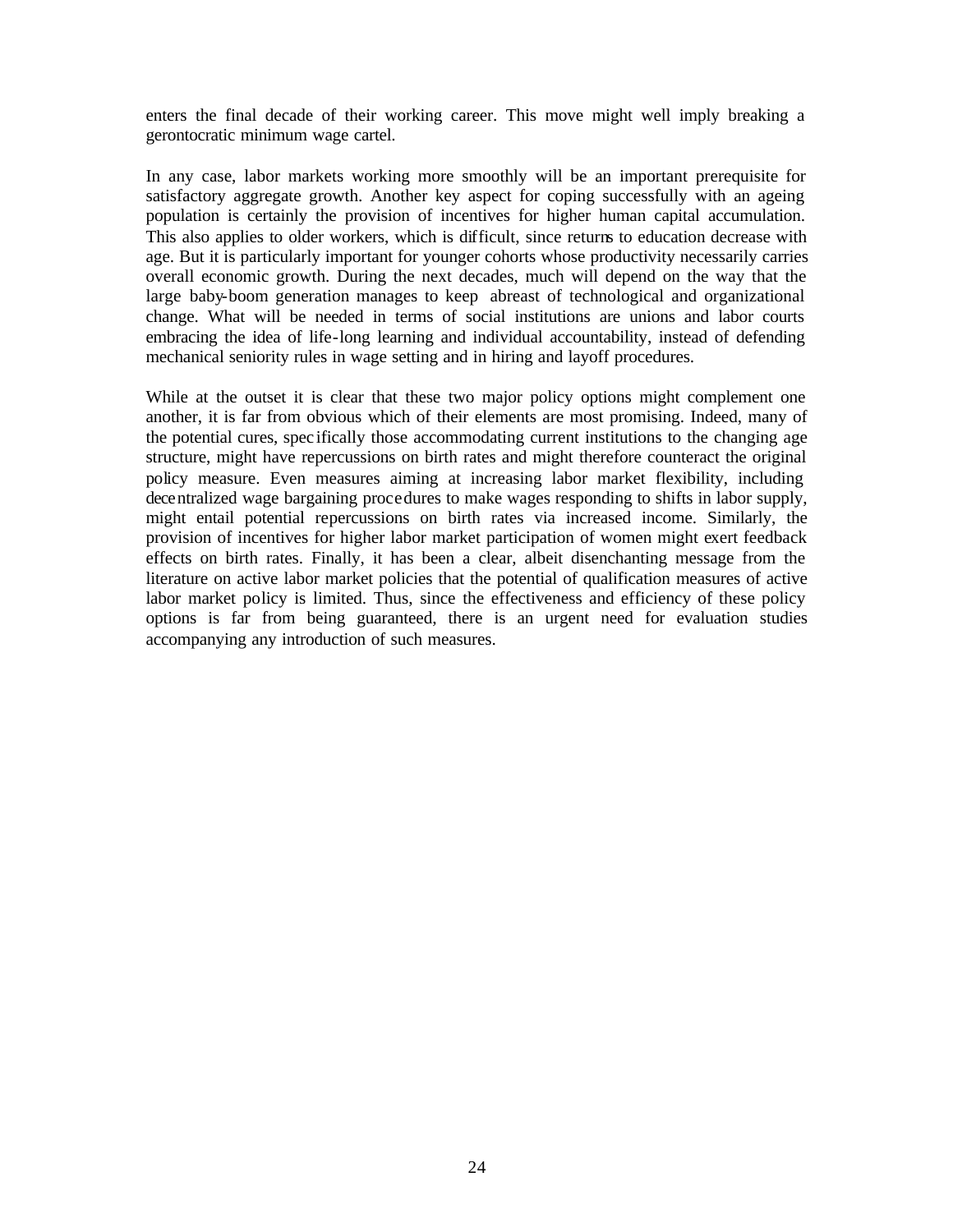enters the final decade of their working career. This move might well imply breaking a gerontocratic minimum wage cartel.

In any case, labor markets working more smoothly will be an important prerequisite for satisfactory aggregate growth. Another key aspect for coping successfully with an ageing population is certainly the provision of incentives for higher human capital accumulation. This also applies to older workers, which is difficult, since returns to education decrease with age. But it is particularly important for younger cohorts whose productivity necessarily carries overall economic growth. During the next decades, much will depend on the way that the large baby-boom generation manages to keep abreast of technological and organizational change. What will be needed in terms of social institutions are unions and labor courts embracing the idea of life-long learning and individual accountability, instead of defending mechanical seniority rules in wage setting and in hiring and layoff procedures.

While at the outset it is clear that these two major policy options might complement one another, it is far from obvious which of their elements are most promising. Indeed, many of the potential cures, spec ifically those accommodating current institutions to the changing age structure, might have repercussions on birth rates and might therefore counteract the original policy measure. Even measures aiming at increasing labor market flexibility, including decentralized wage bargaining procedures to make wages responding to shifts in labor supply, might entail potential repercussions on birth rates via increased income. Similarly, the provision of incentives for higher labor market participation of women might exert feedback effects on birth rates. Finally, it has been a clear, albeit disenchanting message from the literature on active labor market policies that the potential of qualification measures of active labor market policy is limited. Thus, since the effectiveness and efficiency of these policy options is far from being guaranteed, there is an urgent need for evaluation studies accompanying any introduction of such measures.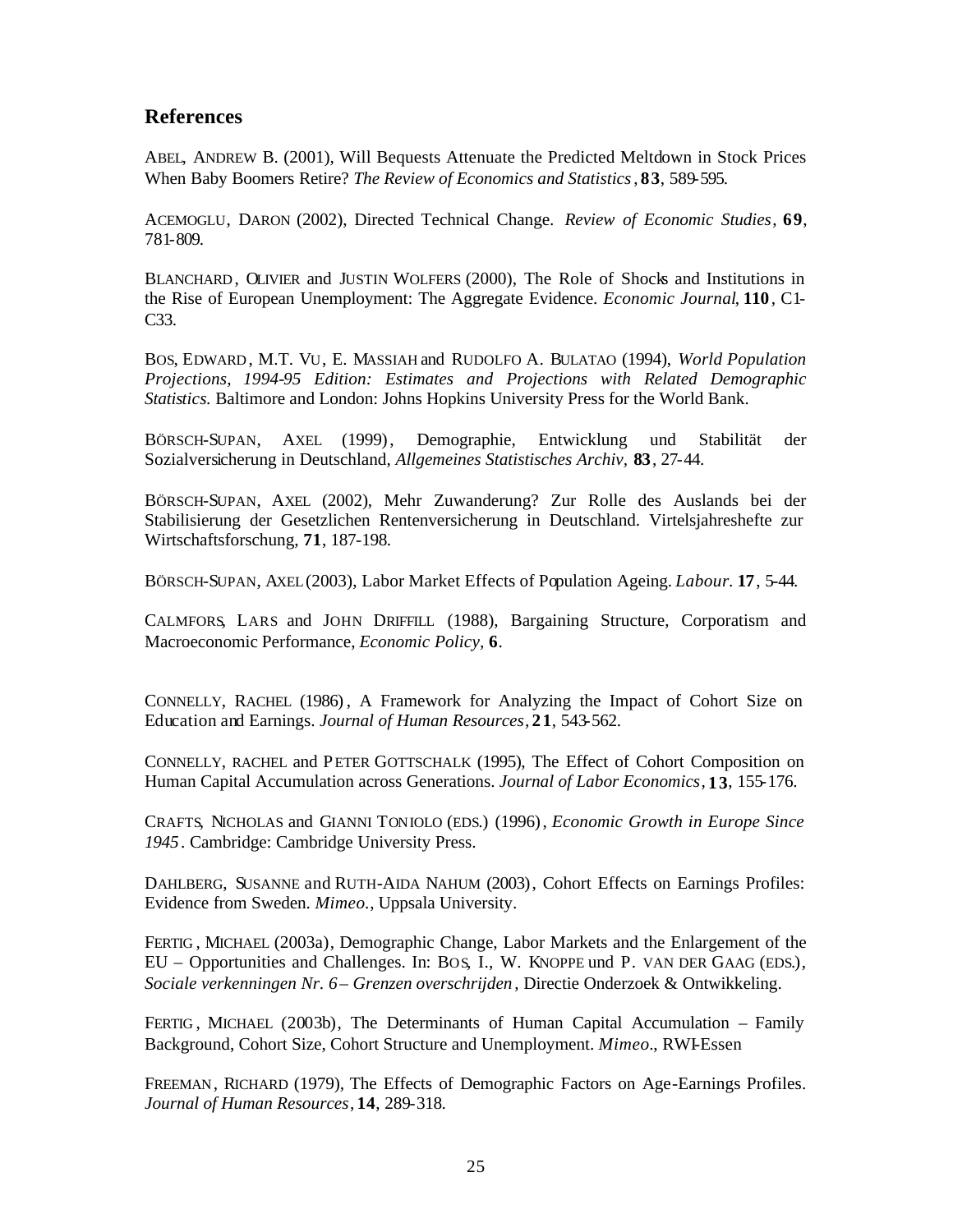### **References**

ABEL, ANDREW B. (2001), Will Bequests Attenuate the Predicted Meltdown in Stock Prices When Baby Boomers Retire? *The Review of Economics and Statistics*, **83**, 589-595.

ACEMOGLU, DARON (2002), Directed Technical Change. *Review of Economic Studies*, **69**, 781-809.

BLANCHARD, OLIVIER and JUSTIN WOLFERS (2000), The Role of Shocks and Institutions in the Rise of European Unemployment: The Aggregate Evidence. *Economic Journal*, **110**, C1- C33.

BOS, EDWARD , M.T. VU, E. MASSIAH and RUDOLFO A. BULATAO (1994), *World Population Projections, 1994-95 Edition: Estimates and Projections with Related Demographic Statistics.* Baltimore and London: Johns Hopkins University Press for the World Bank.

BÖRSCH-SUPAN, AXEL (1999), Demographie, Entwicklung und Stabilität der Sozialversicherung in Deutschland, *Allgemeines Statistisches Archiv,* **83**, 27-44.

BÖRSCH-SUPAN, AXEL (2002), Mehr Zuwanderung? Zur Rolle des Auslands bei der Stabilisierung der Gesetzlichen Rentenversicherung in Deutschland. Virtelsjahreshefte zur Wirtschaftsforschung, **71**, 187-198.

BÖRSCH-SUPAN, AXEL (2003), Labor Market Effects of Population Ageing. *Labour.* **17**, 5-44.

CALMFORS, LARS and JOHN DRIFFILL (1988), Bargaining Structure, Corporatism and Macroeconomic Performance, *Economic Policy,* **6**.

CONNELLY, RACHEL (1986) , A Framework for Analyzing the Impact of Cohort Size on Education and Earnings. *Journal of Human Resources*, **21**, 543-562.

CONNELLY, RACHEL and PETER GOTTSCHALK (1995), The Effect of Cohort Composition on Human Capital Accumulation across Generations. *Journal of Labor Economics*, **13**, 155-176.

CRAFTS, NICHOLAS and GIANNI TONIOLO (EDS.) (1996), *Economic Growth in Europe Since 1945*. Cambridge: Cambridge University Press.

DAHLBERG, SUSANNE and RUTH-AIDA NAHUM (2003), Cohort Effects on Earnings Profiles: Evidence from Sweden. *Mimeo.*, Uppsala University.

FERTIG , MICHAEL (2003a), Demographic Change, Labor Markets and the Enlargement of the EU – Opportunities and Challenges. In: BOS, I., W. KNOPPE und P. VAN DER GAAG (EDS.), *Sociale verkenningen Nr. 6 – Grenzen overschrijden* , Directie Onderzoek & Ontwikkeling.

FERTIG , MICHAEL (2003b), The Determinants of Human Capital Accumulation – Family Background, Cohort Size, Cohort Structure and Unemployment. *Mimeo.*, RWI-Essen

FREEMAN, RICHARD (1979), The Effects of Demographic Factors on Age-Earnings Profiles. *Journal of Human Resources*, **14**, 289-318.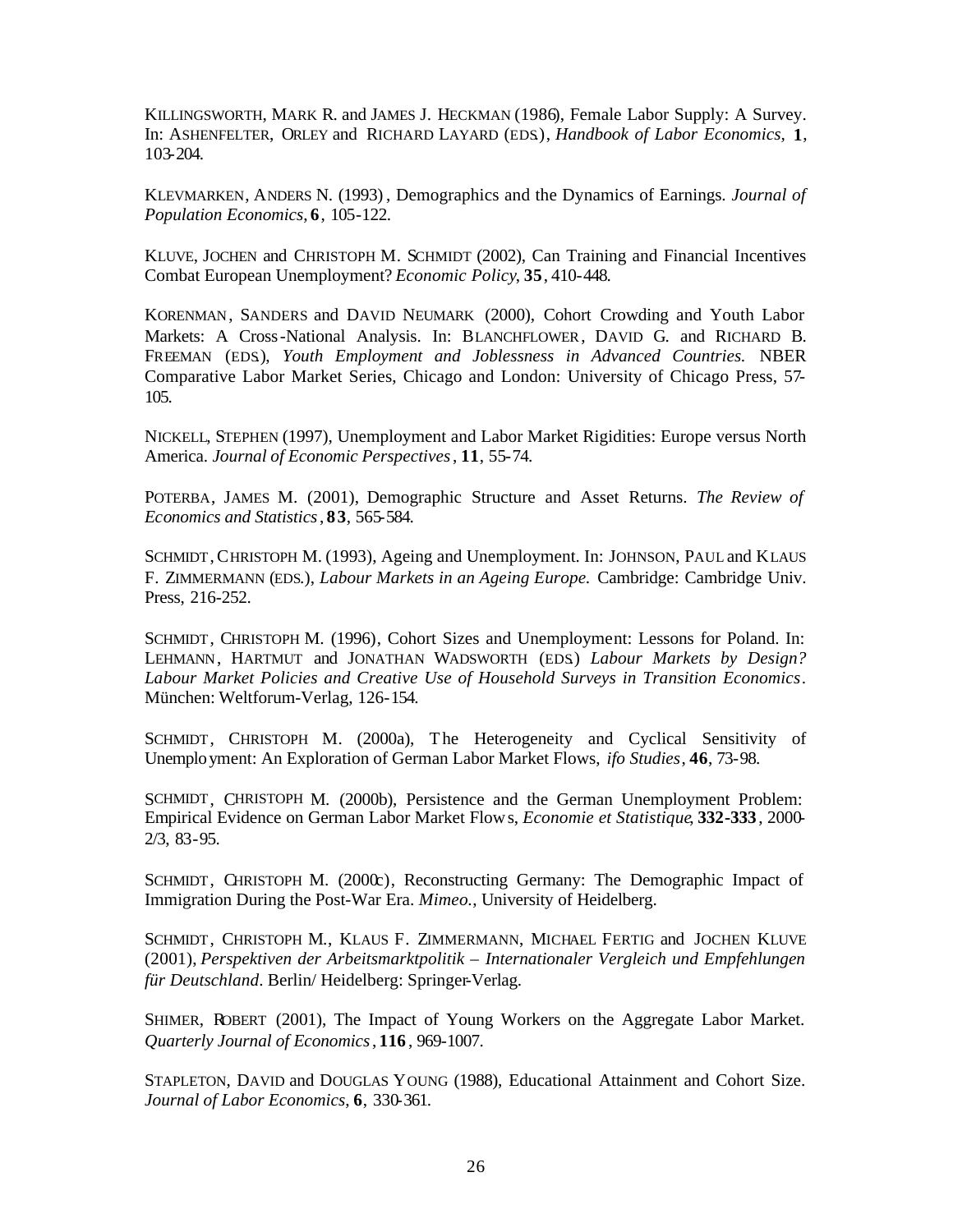KILLINGSWORTH, MARK R. and JAMES J. HECKMAN (1986), Female Labor Supply: A Survey. In: ASHENFELTER, ORLEY and RICHARD LAYARD (EDS.), *Handbook of Labor Economics,* **1**, 103-204.

KLEVMARKEN, ANDERS N. (1993) , Demographics and the Dynamics of Earnings. *Journal of Population Economics*, **6**, 105-122.

KLUVE, JOCHEN and CHRISTOPH M. SCHMIDT (2002), Can Training and Financial Incentives Combat European Unemployment? *Economic Policy*, **35**, 410-448.

KORENMAN, SANDERS and DAVID NEUMARK (2000), Cohort Crowding and Youth Labor Markets: A Cross-National Analysis. In: BLANCHFLOWER, DAVID G. and RICHARD B. FREEMAN (EDS.), *Youth Employment and Joblessness in Advanced Countries.* NBER Comparative Labor Market Series, Chicago and London: University of Chicago Press, 57- 105.

NICKELL, STEPHEN (1997), Unemployment and Labor Market Rigidities: Europe versus North America. *Journal of Economic Perspectives*, **11**, 55-74.

POTERBA, JAMES M. (2001), Demographic Structure and Asset Returns. *The Review of Economics and Statistics*, **83**, 565-584.

SCHMIDT, CHRISTOPH M. (1993), Ageing and Unemployment. In: JOHNSON, PAUL and KLAUS F. ZIMMERMANN (EDS.), *Labour Markets in an Ageing Europe.* Cambridge: Cambridge Univ. Press, 216-252.

SCHMIDT, CHRISTOPH M. (1996), Cohort Sizes and Unemployment: Lessons for Poland. In: LEHMANN, HARTMUT and JONATHAN WADSWORTH (EDS.) *Labour Markets by Design? Labour Market Policies and Creative Use of Household Surveys in Transition Economics*. München: Weltforum-Verlag, 126-154.

SCHMIDT, CHRISTOPH M. (2000a), The Heterogeneity and Cyclical Sensitivity of Unemployment: An Exploration of German Labor Market Flows, *ifo Studies*, **46**, 73-98.

SCHMIDT, CHRISTOPH M. (2000b), Persistence and the German Unemployment Problem: Empirical Evidence on German Labor Market Flows, *Economie et Statistique*, **332-333**, 2000- 2/3, 83-95.

SCHMIDT, CHRISTOPH M. (2000c), Reconstructing Germany: The Demographic Impact of Immigration During the Post-War Era. *Mimeo.*, University of Heidelberg.

SCHMIDT, CHRISTOPH M., KLAUS F. ZIMMERMANN, MICHAEL FERTIG and JOCHEN KLUVE (2001), *Perspektiven der Arbeitsmarktpolitik – Internationaler Vergleich und Empfehlungen für Deutschland*. Berlin/ Heidelberg: Springer-Verlag.

SHIMER, ROBERT (2001), The Impact of Young Workers on the Aggregate Labor Market. *Quarterly Journal of Economics*, **116** , 969-1007.

STAPLETON, DAVID and DOUGLAS YOUNG (1988), Educational Attainment and Cohort Size. *Journal of Labor Economics*, **6**, 330-361.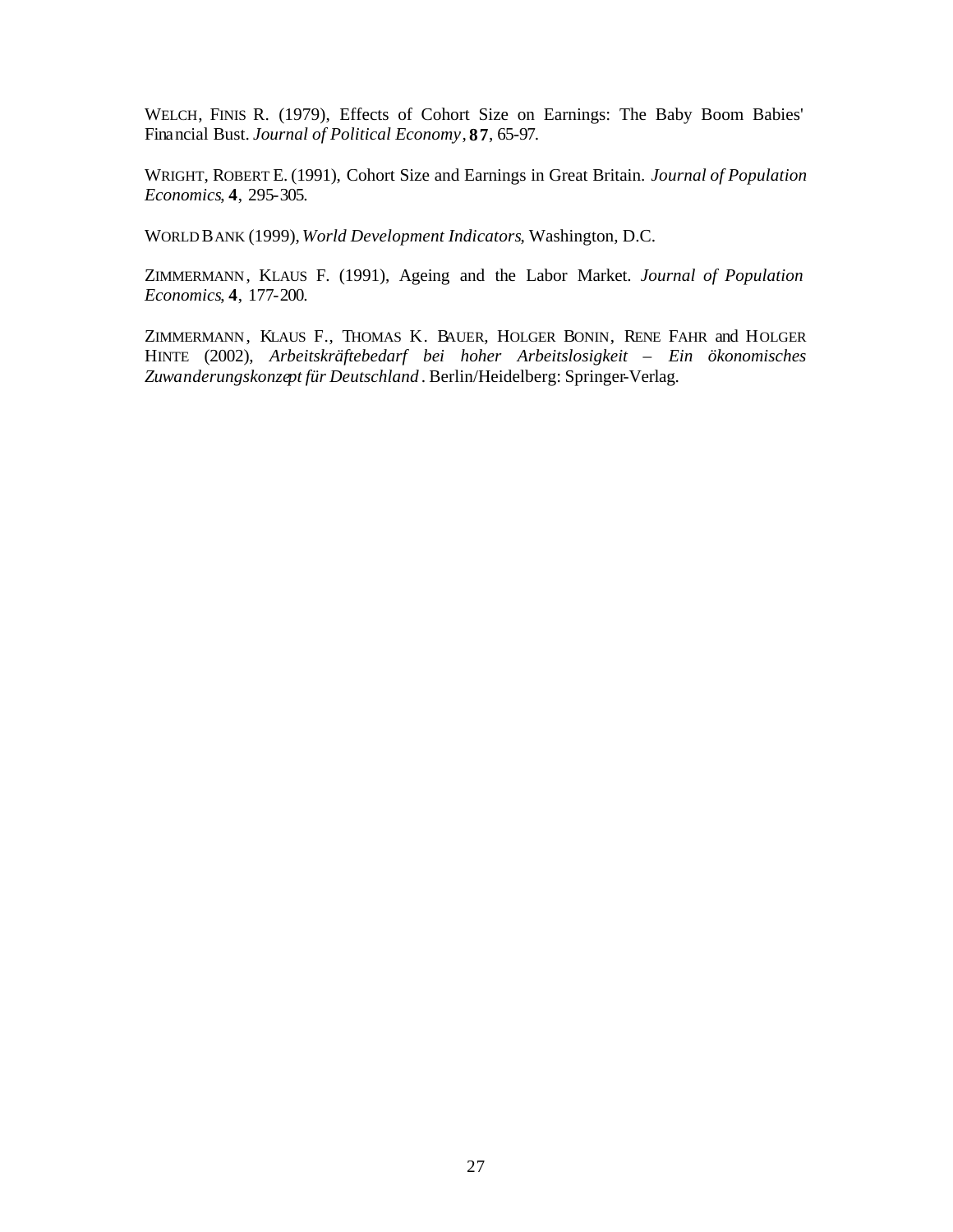WELCH, FINIS R. (1979), Effects of Cohort Size on Earnings: The Baby Boom Babies' Financial Bust. *Journal of Political Economy*, **87**, 65-97.

WRIGHT, ROBERT E. (1991), Cohort Size and Earnings in Great Britain. *Journal of Population Economics*, **4**, 295-305.

WORLD BANK (1999),*World Development Indicators*, Washington, D.C.

ZIMMERMANN, KLAUS F. (1991), Ageing and the Labor Market. *Journal of Population Economics*, **4**, 177-200.

ZIMMERMANN, KLAUS F., THOMAS K. BAUER, HOLGER BONIN, RENE FAHR and HOLGER HINTE (2002), *Arbeitskräftebedarf bei hoher Arbeitslosigkeit – Ein ökonomisches Zuwanderungskonzept für Deutschland* . Berlin/Heidelberg: Springer-Verlag.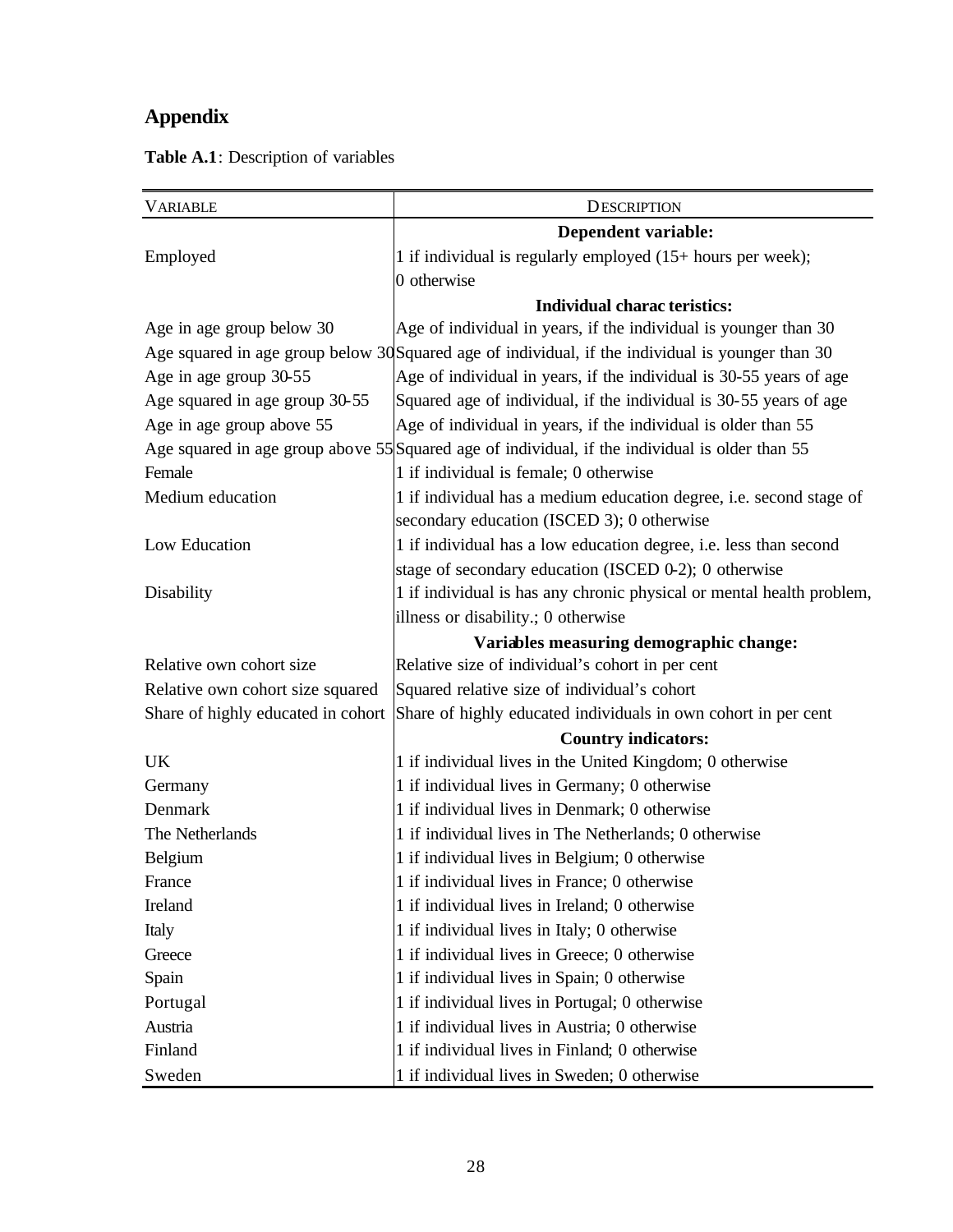## **Appendix**

| <b>VARIABLE</b>                    | <b>DESCRIPTION</b>                                                                                |  |  |
|------------------------------------|---------------------------------------------------------------------------------------------------|--|--|
|                                    | Dependent variable:                                                                               |  |  |
| Employed                           | 1 if individual is regularly employed (15+ hours per week);                                       |  |  |
|                                    | 0 otherwise                                                                                       |  |  |
|                                    | <b>Individual charac teristics:</b>                                                               |  |  |
| Age in age group below 30          | Age of individual in years, if the individual is younger than 30                                  |  |  |
|                                    | Age squared in age group below 30 Squared age of individual, if the individual is younger than 30 |  |  |
| Age in age group 30-55             | Age of individual in years, if the individual is 30-55 years of age                               |  |  |
| Age squared in age group 30-55     | Squared age of individual, if the individual is 30-55 years of age                                |  |  |
| Age in age group above 55          | Age of individual in years, if the individual is older than 55                                    |  |  |
|                                    | Age squared in age group above 55 Squared age of individual, if the individual is older than 55   |  |  |
| Female                             | 1 if individual is female; 0 otherwise                                                            |  |  |
| Medium education                   | 1 if individual has a medium education degree, i.e. second stage of                               |  |  |
|                                    | secondary education (ISCED 3); 0 otherwise                                                        |  |  |
| Low Education                      | 1 if individual has a low education degree, i.e. less than second                                 |  |  |
|                                    | stage of secondary education (ISCED 0-2); 0 otherwise                                             |  |  |
| Disability                         | 1 if individual is has any chronic physical or mental health problem,                             |  |  |
|                                    | illness or disability.; 0 otherwise                                                               |  |  |
|                                    | Variables measuring demographic change:                                                           |  |  |
| Relative own cohort size           | Relative size of individual's cohort in per cent                                                  |  |  |
| Relative own cohort size squared   | Squared relative size of individual's cohort                                                      |  |  |
| Share of highly educated in cohort | Share of highly educated individuals in own cohort in per cent                                    |  |  |
|                                    | <b>Country indicators:</b>                                                                        |  |  |
| UK                                 | 1 if individual lives in the United Kingdom; 0 otherwise                                          |  |  |
| Germany                            | 1 if individual lives in Germany; 0 otherwise                                                     |  |  |
| Denmark                            | 1 if individual lives in Denmark; 0 otherwise                                                     |  |  |
| The Netherlands                    | 1 if individual lives in The Netherlands; 0 otherwise                                             |  |  |
| Belgium                            | 1 if individual lives in Belgium; 0 otherwise                                                     |  |  |
| France                             | 1 if individual lives in France; 0 otherwise                                                      |  |  |
| Ireland                            | 1 if individual lives in Ireland; 0 otherwise                                                     |  |  |
| Italy                              | 1 if individual lives in Italy; 0 otherwise                                                       |  |  |
| Greece                             | 1 if individual lives in Greece; 0 otherwise                                                      |  |  |
| Spain                              | 1 if individual lives in Spain; 0 otherwise                                                       |  |  |
| Portugal                           | 1 if individual lives in Portugal; 0 otherwise                                                    |  |  |
| Austria                            | 1 if individual lives in Austria; 0 otherwise                                                     |  |  |
| Finland                            | 1 if individual lives in Finland; 0 otherwise                                                     |  |  |
| Sweden                             | 1 if individual lives in Sweden; 0 otherwise                                                      |  |  |

**Table A.1**: Description of variables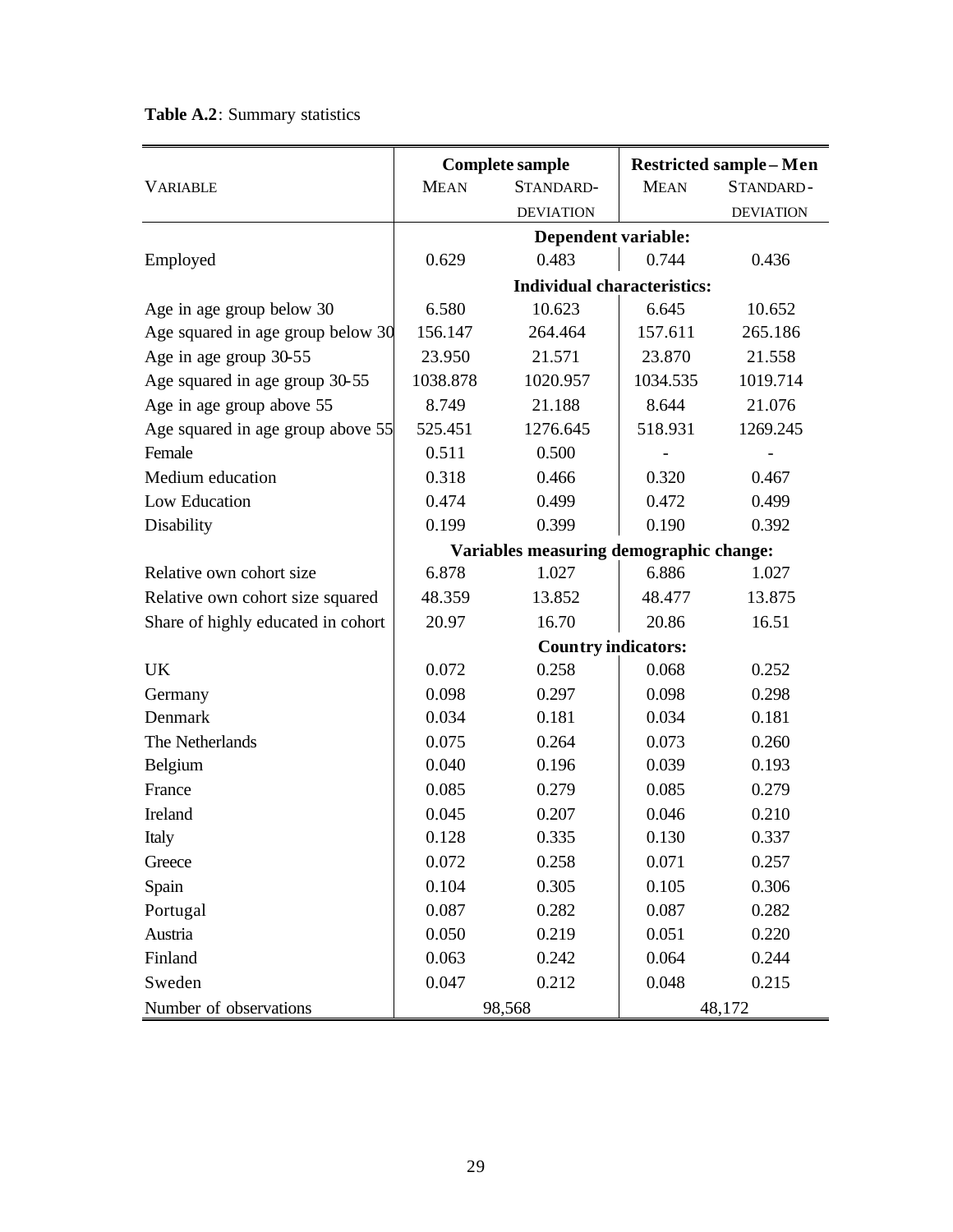|                                    |                                         | <b>Complete sample</b>             | <b>Restricted sample - Men</b> |                  |  |
|------------------------------------|-----------------------------------------|------------------------------------|--------------------------------|------------------|--|
| <b>VARIABLE</b>                    | <b>MEAN</b>                             | STANDARD-                          | <b>MEAN</b>                    | STANDARD-        |  |
|                                    |                                         | <b>DEVIATION</b>                   |                                | <b>DEVIATION</b> |  |
|                                    |                                         | Dependent variable:                |                                |                  |  |
| Employed                           | 0.629                                   | 0.483                              | 0.744                          | 0.436            |  |
|                                    |                                         | <b>Individual characteristics:</b> |                                |                  |  |
| Age in age group below 30          | 6.580                                   | 10.623                             | 6.645                          | 10.652           |  |
| Age squared in age group below 30  | 156.147                                 | 264.464                            | 157.611                        | 265.186          |  |
| Age in age group 30-55             | 23.950                                  | 21.571                             | 23.870                         | 21.558           |  |
| Age squared in age group 30-55     | 1038.878                                | 1020.957                           | 1034.535                       | 1019.714         |  |
| Age in age group above 55          | 8.749                                   | 21.188                             | 8.644                          | 21.076           |  |
| Age squared in age group above 55  | 525.451                                 | 1276.645                           | 518.931                        | 1269.245         |  |
| Female                             | 0.511                                   | 0.500                              |                                |                  |  |
| Medium education                   | 0.318                                   | 0.466                              | 0.320                          | 0.467            |  |
| Low Education                      | 0.474                                   | 0.499                              | 0.472                          | 0.499            |  |
| Disability                         | 0.199                                   | 0.399                              | 0.190                          | 0.392            |  |
|                                    | Variables measuring demographic change: |                                    |                                |                  |  |
| Relative own cohort size           | 6.878                                   | 1.027                              | 6.886                          | 1.027            |  |
| Relative own cohort size squared   | 48.359                                  | 13.852                             | 48.477                         | 13.875           |  |
| Share of highly educated in cohort | 20.97                                   | 16.70                              | 20.86                          | 16.51            |  |
|                                    |                                         | <b>Country indicators:</b>         |                                |                  |  |
| <b>UK</b>                          | 0.072                                   | 0.258                              | 0.068                          | 0.252            |  |
| Germany                            | 0.098                                   | 0.297                              | 0.098                          | 0.298            |  |
| Denmark                            | 0.034                                   | 0.181                              | 0.034                          | 0.181            |  |
| The Netherlands                    | 0.075                                   | 0.264                              | 0.073                          | 0.260            |  |
| Belgium                            | 0.040                                   | 0.196                              | 0.039                          | 0.193            |  |
| France                             | 0.085                                   | 0.279                              | 0.085                          | 0.279            |  |
| Ireland                            | 0.045                                   | 0.207                              | 0.046                          | 0.210            |  |
| Italy                              | 0.128                                   | 0.335                              | 0.130                          | 0.337            |  |
| Greece                             | 0.072                                   | 0.258                              | 0.071                          | 0.257            |  |
| Spain                              | 0.104                                   | 0.305                              | 0.105                          | 0.306            |  |
| Portugal                           | 0.087                                   | 0.282                              | 0.087                          | 0.282            |  |
| Austria                            | 0.050                                   | 0.219                              | 0.051                          | 0.220            |  |
| Finland                            | 0.063                                   | 0.242                              | 0.064                          | 0.244            |  |
| Sweden                             | 0.047                                   | 0.212                              | 0.048                          | 0.215            |  |
| Number of observations             | 98,568<br>48,172                        |                                    |                                |                  |  |

**Table A.2**: Summary statistics